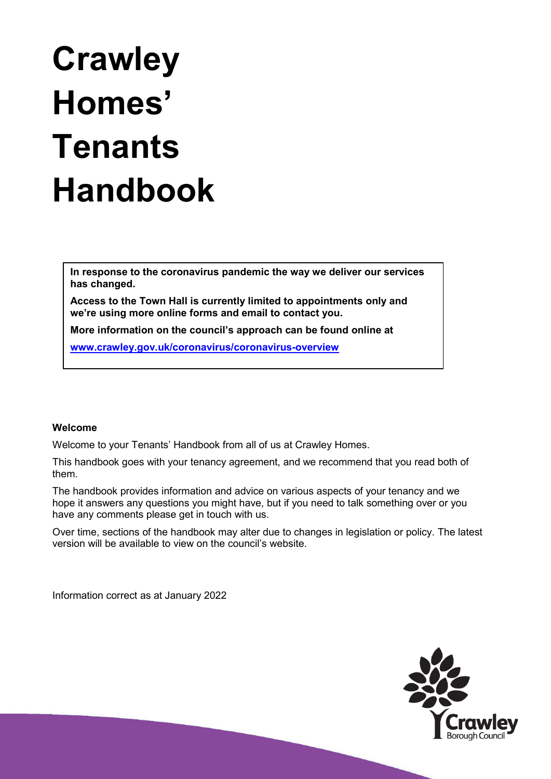# **Crawley Homes' Tenants Handbook**

**In response to the coronavirus pandemic the way we deliver our services has changed.**

**Access to the Town Hall is currently limited to appointments only and we're using more online forms and email to contact you.**

**More information on the council's approach can be found online at** 

**[www.crawley.gov.uk/coronavirus/coronavirus-overview](http://www.crawley.gov.uk/coronavirus/coronavirus-overview)**

## **Welcome**

Welcome to your Tenants' Handbook from all of us at Crawley Homes.

This handbook goes with your tenancy agreement, and we recommend that you read both of them.

The handbook provides information and advice on various aspects of your tenancy and we hope it answers any questions you might have, but if you need to talk something over or you have any comments please get in touch with us.

Over time, sections of the handbook may alter due to changes in legislation or policy. The latest version will be available to view on the council's website.

Information correct as at January 2022

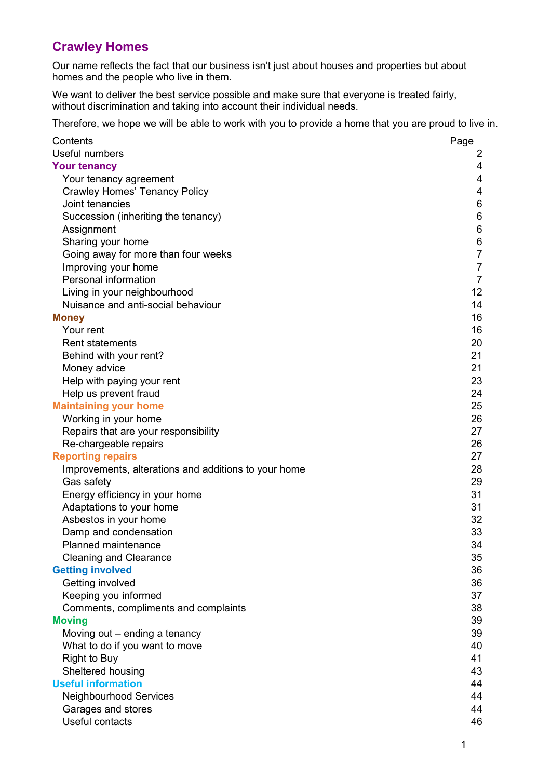# **Crawley Homes**

Our name reflects the fact that our business isn't just about houses and properties but about homes and the people who live in them.

We want to deliver the best service possible and make sure that everyone is treated fairly, without discrimination and taking into account their individual needs.

Therefore, we hope we will be able to work with you to provide a home that you are proud to live in.

| Contents                                             | Page            |
|------------------------------------------------------|-----------------|
| Useful numbers                                       | 2               |
| <b>Your tenancy</b>                                  | 4               |
| Your tenancy agreement                               | 4               |
| <b>Crawley Homes' Tenancy Policy</b>                 | 4               |
| Joint tenancies                                      | 6               |
| Succession (inheriting the tenancy)                  | 6               |
| Assignment                                           | 6               |
| Sharing your home                                    | $\,6$           |
| Going away for more than four weeks                  | $\overline{7}$  |
| Improving your home                                  | $\overline{7}$  |
| Personal information                                 | $\overline{7}$  |
| Living in your neighbourhood                         | 12 <sub>2</sub> |
| Nuisance and anti-social behaviour                   | 14              |
| <b>Money</b>                                         | 16              |
| Your rent                                            | 16              |
| <b>Rent statements</b>                               | 20              |
| Behind with your rent?                               | 21              |
| Money advice                                         | 21              |
| Help with paying your rent                           | 23              |
| Help us prevent fraud                                | 24              |
| <b>Maintaining your home</b>                         | 25              |
| Working in your home                                 | 26              |
| Repairs that are your responsibility                 | 27              |
| Re-chargeable repairs                                | 26              |
| <b>Reporting repairs</b>                             | 27              |
| Improvements, alterations and additions to your home | 28              |
| Gas safety                                           | 29              |
| Energy efficiency in your home                       | 31              |
| Adaptations to your home                             | 31              |
| Asbestos in your home                                | 32              |
| Damp and condensation                                | 33              |
| <b>Planned maintenance</b>                           | 34              |
| <b>Cleaning and Clearance</b>                        | 35              |
| <b>Getting involved</b>                              | 36              |
| Getting involved                                     | 36              |
| Keeping you informed                                 | 37              |
| Comments, compliments and complaints                 | 38              |
| <b>Moving</b>                                        | 39              |
| Moving out – ending a tenancy                        | 39              |
| What to do if you want to move                       | 40              |
| <b>Right to Buy</b>                                  | 41              |
| Sheltered housing                                    | 43              |
| <b>Useful information</b>                            | 44              |
| <b>Neighbourhood Services</b>                        | 44              |
| Garages and stores                                   | 44              |
| Useful contacts                                      | 46              |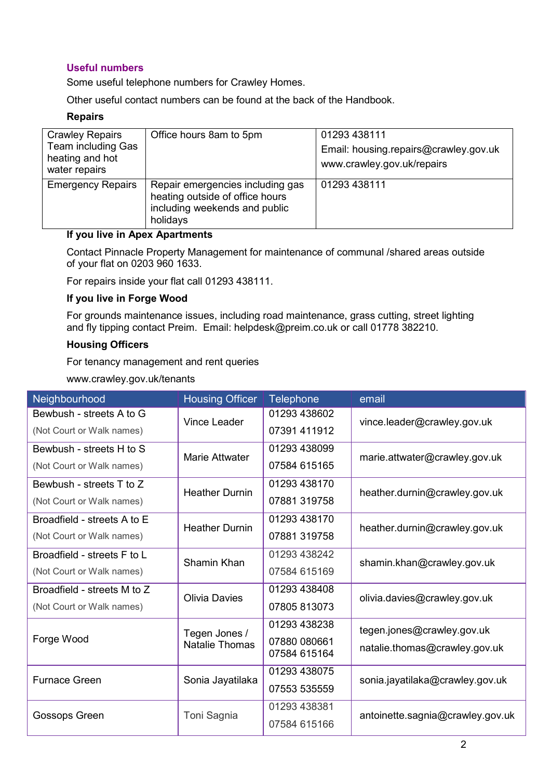## <span id="page-2-0"></span>**Useful numbers**

Some useful telephone numbers for Crawley Homes.

Other useful contact numbers can be found at the back of the Handbook.

## **Repairs**

| <b>Crawley Repairs</b><br>Team including Gas<br>heating and hot<br>water repairs | Office hours 8am to 5pm                                                                                          | 01293 438111<br>Email: housing.repairs@crawley.gov.uk<br>www.crawley.gov.uk/repairs |
|----------------------------------------------------------------------------------|------------------------------------------------------------------------------------------------------------------|-------------------------------------------------------------------------------------|
| <b>Emergency Repairs</b>                                                         | Repair emergencies including gas<br>heating outside of office hours<br>including weekends and public<br>holidays | 01293 438111                                                                        |

## **If you live in Apex Apartments**

Contact Pinnacle Property Management for maintenance of communal /shared areas outside of your flat on 0203 960 1633.

For repairs inside your flat call 01293 438111.

## **If you live in Forge Wood**

For grounds maintenance issues, including road maintenance, grass cutting, street lighting and fly tipping contact Preim. Email: helpdesk@preim.co.uk or call 01778 382210.

## **Housing Officers**

For tenancy management and rent queries

www.crawley.gov.uk/tenants

| Neighbourhood               | <b>Housing Officer</b> | <b>Telephone</b> | email                            |  |  |
|-----------------------------|------------------------|------------------|----------------------------------|--|--|
| Bewbush - streets A to G    | <b>Vince Leader</b>    | 01293 438602     | vince.leader@crawley.gov.uk      |  |  |
| (Not Court or Walk names)   |                        | 07391 411912     |                                  |  |  |
| Bewbush - streets H to S    | Marie Attwater         | 01293 438099     |                                  |  |  |
| (Not Court or Walk names)   |                        | 07584 615165     | marie.attwater@crawley.gov.uk    |  |  |
| Bewbush - streets T to Z    | <b>Heather Durnin</b>  | 01293 438170     | heather.durnin@crawley.gov.uk    |  |  |
| (Not Court or Walk names)   |                        | 07881 319758     |                                  |  |  |
| Broadfield - streets A to E | <b>Heather Durnin</b>  | 01293 438170     | heather.durnin@crawley.gov.uk    |  |  |
| (Not Court or Walk names)   |                        | 07881 319758     |                                  |  |  |
| Broadfield - streets F to L | Shamin Khan            | 01293 438242     | shamin.khan@crawley.gov.uk       |  |  |
| (Not Court or Walk names)   |                        | 07584 615169     |                                  |  |  |
| Broadfield - streets M to Z | <b>Olivia Davies</b>   | 01293 438408     | olivia.davies@crawley.gov.uk     |  |  |
| (Not Court or Walk names)   |                        | 07805 813073     |                                  |  |  |
|                             | Tegen Jones /          | 01293 438238     | tegen.jones@crawley.gov.uk       |  |  |
| Forge Wood                  | <b>Natalie Thomas</b>  | 07880 080661     | natalie.thomas@crawley.gov.uk    |  |  |
|                             |                        | 07584 615164     |                                  |  |  |
| <b>Furnace Green</b>        | Sonia Jayatilaka       | 01293 438075     | sonia.jayatilaka@crawley.gov.uk  |  |  |
|                             |                        | 07553 535559     |                                  |  |  |
| Gossops Green               | Toni Sagnia            | 01293 438381     | antoinette.sagnia@crawley.gov.uk |  |  |
|                             |                        | 07584 615166     |                                  |  |  |
|                             |                        |                  |                                  |  |  |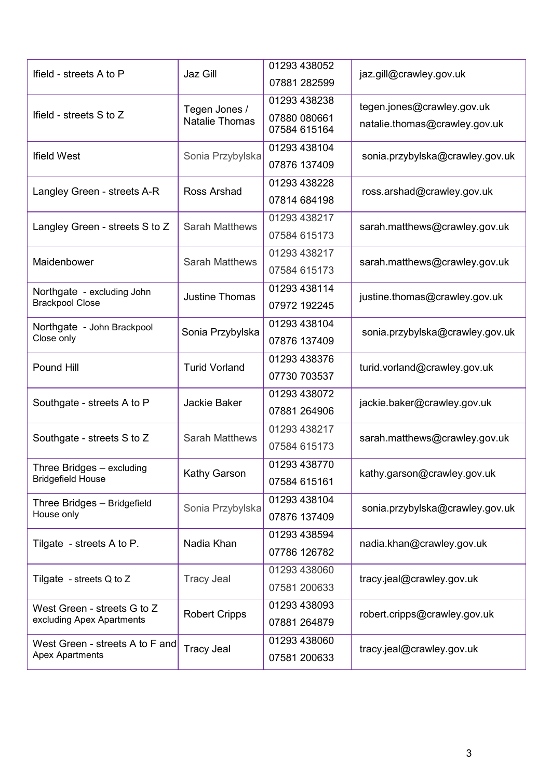|                                 |                                        | 01293 438052                 |                                 |  |
|---------------------------------|----------------------------------------|------------------------------|---------------------------------|--|
| Ifield - streets A to P         | Jaz Gill                               | 07881 282599                 | jaz.gill@crawley.gov.uk         |  |
|                                 |                                        | 01293 438238                 | tegen.jones@crawley.gov.uk      |  |
| Ifield - streets S to Z         | Tegen Jones /<br><b>Natalie Thomas</b> | 07880 080661<br>07584 615164 | natalie.thomas@crawley.gov.uk   |  |
|                                 |                                        | 01293 438104                 |                                 |  |
| <b>Ifield West</b>              | Sonia Przybylska<br>Ross Arshad        | 07876 137409                 | sonia.przybylska@crawley.gov.uk |  |
| Langley Green - streets A-R     |                                        | 01293 438228                 | ross.arshad@crawley.gov.uk      |  |
|                                 |                                        | 07814 684198                 |                                 |  |
| Langley Green - streets S to Z  | <b>Sarah Matthews</b>                  | 01293 438217                 | sarah.matthews@crawley.gov.uk   |  |
|                                 |                                        | 07584 615173                 |                                 |  |
| Maidenbower                     | <b>Sarah Matthews</b>                  | 01293 438217                 | sarah.matthews@crawley.gov.uk   |  |
|                                 |                                        | 07584 615173                 |                                 |  |
| Northgate - excluding John      | <b>Justine Thomas</b>                  | 01293 438114                 | justine.thomas@crawley.gov.uk   |  |
| <b>Brackpool Close</b>          |                                        | 07972 192245                 |                                 |  |
| Northgate - John Brackpool      | Sonia Przybylska                       | 01293 438104                 | sonia.przybylska@crawley.gov.uk |  |
| Close only                      |                                        | 07876 137409                 |                                 |  |
|                                 |                                        | 01293 438376                 |                                 |  |
| Pound Hill                      | <b>Turid Vorland</b><br>Jackie Baker   | 07730 703537                 | turid.vorland@crawley.gov.uk    |  |
| Southgate - streets A to P      |                                        | 01293 438072                 | jackie.baker@crawley.gov.uk     |  |
|                                 |                                        | 07881 264906                 |                                 |  |
| Southgate - streets S to Z      | <b>Sarah Matthews</b>                  | 01293 438217                 | sarah.matthews@crawley.gov.uk   |  |
|                                 |                                        | 07584 615173                 |                                 |  |
| Three Bridges - excluding       | Kathy Garson                           | 01293 438770                 | kathy.garson@crawley.gov.uk     |  |
| <b>Bridgefield House</b>        |                                        | 07584 615161                 |                                 |  |
| Three Bridges - Bridgefield     | Sonia Przybylska                       | 01293 438104                 | sonia.przybylska@crawley.gov.uk |  |
| House only                      |                                        | 07876 137409                 |                                 |  |
| Tilgate - streets A to P.       | Nadia Khan                             | 01293 438594                 | nadia.khan@crawley.gov.uk       |  |
|                                 | <b>Tracy Jeal</b>                      | 07786 126782                 |                                 |  |
| Tilgate - streets $Q$ to $Z$    |                                        | 01293 438060                 | tracy.jeal@crawley.gov.uk       |  |
|                                 | <b>Robert Cripps</b>                   | 07581 200633                 | robert.cripps@crawley.gov.uk    |  |
| West Green - streets G to Z     |                                        | 01293 438093                 |                                 |  |
| excluding Apex Apartments       | <b>Tracy Jeal</b>                      | 07881 264879                 | tracy.jeal@crawley.gov.uk       |  |
| West Green - streets A to F and |                                        | 01293 438060                 |                                 |  |
| <b>Apex Apartments</b>          |                                        | 07581 200633                 |                                 |  |
|                                 |                                        |                              |                                 |  |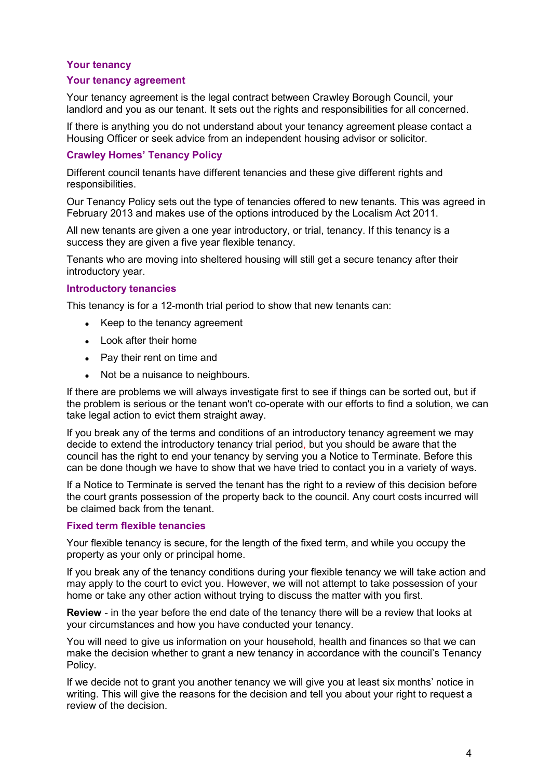## <span id="page-4-0"></span>**Your tenancy**

#### <span id="page-4-1"></span>**Your tenancy agreement**

Your tenancy agreement is the legal contract between Crawley Borough Council, your landlord and you as our tenant. It sets out the rights and responsibilities for all concerned.

If there is anything you do not understand about your tenancy agreement please contact a Housing Officer or seek advice from an independent housing advisor or solicitor.

#### <span id="page-4-2"></span>**Crawley Homes' Tenancy Policy**

Different council tenants have different tenancies and these give different rights and responsibilities.

Our Tenancy Policy sets out the type of tenancies offered to new tenants. This was agreed in February 2013 and makes use of the options introduced by the Localism Act 2011.

All new tenants are given a one year introductory, or trial, tenancy. If this tenancy is a success they are given a five year flexible tenancy.

Tenants who are moving into sheltered housing will still get a secure tenancy after their introductory year.

#### **Introductory tenancies**

This tenancy is for a 12-month trial period to show that new tenants can:

- Keep to the tenancy agreement
- Look after their home
- Pay their rent on time and
- Not be a nuisance to neighbours.

If there are problems we will always investigate first to see if things can be sorted out, but if the problem is serious or the tenant won't co-operate with our efforts to find a solution, we can take legal action to evict them straight away.

If you break any of the terms and conditions of an introductory tenancy agreement we may decide to extend the introductory tenancy trial period, but you should be aware that the council has the right to end your tenancy by serving you a Notice to Terminate. Before this can be done though we have to show that we have tried to contact you in a variety of ways.

If a Notice to Terminate is served the tenant has the right to a review of this decision before the court grants possession of the property back to the council. Any court costs incurred will be claimed back from the tenant.

#### **Fixed term flexible tenancies**

Your flexible tenancy is secure, for the length of the fixed term, and while you occupy the property as your only or principal home.

If you break any of the tenancy conditions during your flexible tenancy we will take action and may apply to the court to evict you. However, we will not attempt to take possession of your home or take any other action without trying to discuss the matter with you first.

**Review** - in the year before the end date of the tenancy there will be a review that looks at your circumstances and how you have conducted your tenancy.

You will need to give us information on your household, health and finances so that we can make the decision whether to grant a new tenancy in accordance with the council's Tenancy Policy.

If we decide not to grant you another tenancy we will give you at least six months' notice in writing. This will give the reasons for the decision and tell you about your right to request a review of the decision.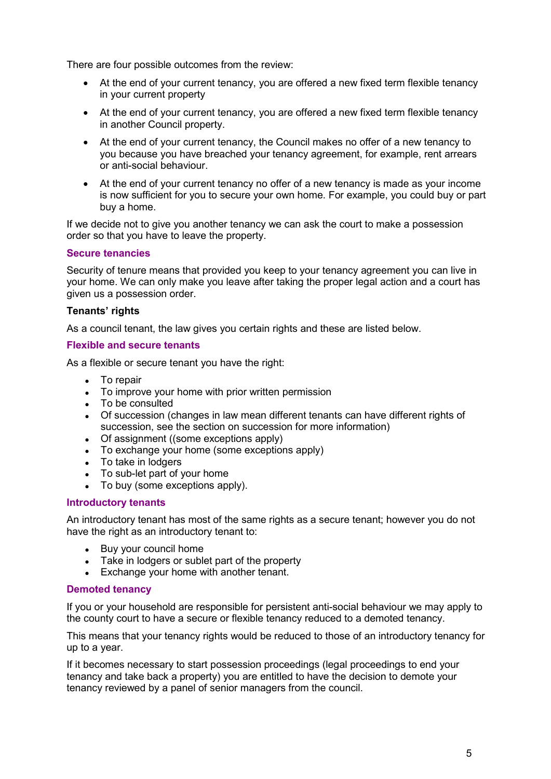There are four possible outcomes from the review:

- At the end of your current tenancy, you are offered a new fixed term flexible tenancy in your current property
- At the end of your current tenancy, you are offered a new fixed term flexible tenancy in another Council property.
- At the end of your current tenancy, the Council makes no offer of a new tenancy to you because you have breached your tenancy agreement, for example, rent arrears or anti-social behaviour.
- At the end of your current tenancy no offer of a new tenancy is made as your income is now sufficient for you to secure your own home. For example, you could buy or part buy a home.

If we decide not to give you another tenancy we can ask the court to make a possession order so that you have to leave the property.

## **Secure tenancies**

Security of tenure means that provided you keep to your tenancy agreement you can live in your home. We can only make you leave after taking the proper legal action and a court has given us a possession order.

## **Tenants' rights**

As a council tenant, the law gives you certain rights and these are listed below.

## **Flexible and secure tenants**

As a flexible or secure tenant you have the right:

- To repair
- To improve your home with prior written permission
- To be consulted
- Of succession (changes in law mean different tenants can have different rights of succession, see the section on succession for more information)
- Of assignment ((some exceptions apply)
- To exchange your home (some exceptions apply)
- To take in lodgers
- To sub-let part of your home
- To buy (some exceptions apply).

## **Introductory tenants**

An introductory tenant has most of the same rights as a secure tenant; however you do not have the right as an introductory tenant to:

- Buy your council home
- Take in lodgers or sublet part of the property
- Exchange your home with another tenant.

## **Demoted tenancy**

If you or your household are responsible for persistent anti-social behaviour we may apply to the county court to have a secure or flexible tenancy reduced to a demoted tenancy.

This means that your tenancy rights would be reduced to those of an introductory tenancy for up to a year.

If it becomes necessary to start possession proceedings (legal proceedings to end your tenancy and take back a property) you are entitled to have the decision to demote your tenancy reviewed by a panel of senior managers from the council.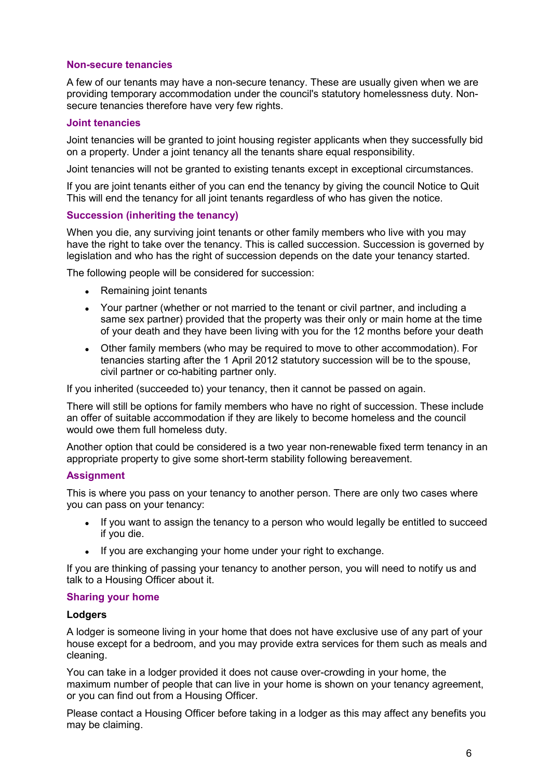#### **Non-secure tenancies**

A few of our tenants may have a non-secure tenancy. These are usually given when we are providing temporary accommodation under the council's statutory homelessness duty. Nonsecure tenancies therefore have very few rights.

#### <span id="page-6-0"></span>**Joint tenancies**

Joint tenancies will be granted to joint housing register applicants when they successfully bid on a property. Under a joint tenancy all the tenants share equal responsibility.

Joint tenancies will not be granted to existing tenants except in exceptional circumstances.

If you are joint tenants either of you can end the tenancy by giving the council Notice to Quit This will end the tenancy for all joint tenants regardless of who has given the notice.

#### <span id="page-6-1"></span>**Succession (inheriting the tenancy)**

When you die, any surviving joint tenants or other family members who live with you may have the right to take over the tenancy. This is called succession. Succession is governed by legislation and who has the right of succession depends on the date your tenancy started.

The following people will be considered for succession:

- Remaining joint tenants
- Your partner (whether or not married to the tenant or civil partner, and including a same sex partner) provided that the property was their only or main home at the time of your death and they have been living with you for the 12 months before your death
- Other family members (who may be required to move to other accommodation). For tenancies starting after the 1 April 2012 statutory succession will be to the spouse, civil partner or co-habiting partner only.

If you inherited (succeeded to) your tenancy, then it cannot be passed on again.

There will still be options for family members who have no right of succession. These include an offer of suitable accommodation if they are likely to become homeless and the council would owe them full homeless duty.

Another option that could be considered is a two year non-renewable fixed term tenancy in an appropriate property to give some short-term stability following bereavement.

## <span id="page-6-2"></span>**Assignment**

This is where you pass on your tenancy to another person. There are only two cases where you can pass on your tenancy:

- If you want to assign the tenancy to a person who would legally be entitled to succeed if you die.
- If you are exchanging your home under your right to exchange.

If you are thinking of passing your tenancy to another person, you will need to notify us and talk to a Housing Officer about it.

#### <span id="page-6-3"></span>**Sharing your home**

#### **Lodgers**

A lodger is someone living in your home that does not have exclusive use of any part of your house except for a bedroom, and you may provide extra services for them such as meals and cleaning.

You can take in a lodger provided it does not cause over-crowding in your home, the maximum number of people that can live in your home is shown on your tenancy agreement. or you can find out from a Housing Officer.

Please contact a Housing Officer before taking in a lodger as this may affect any benefits you may be claiming.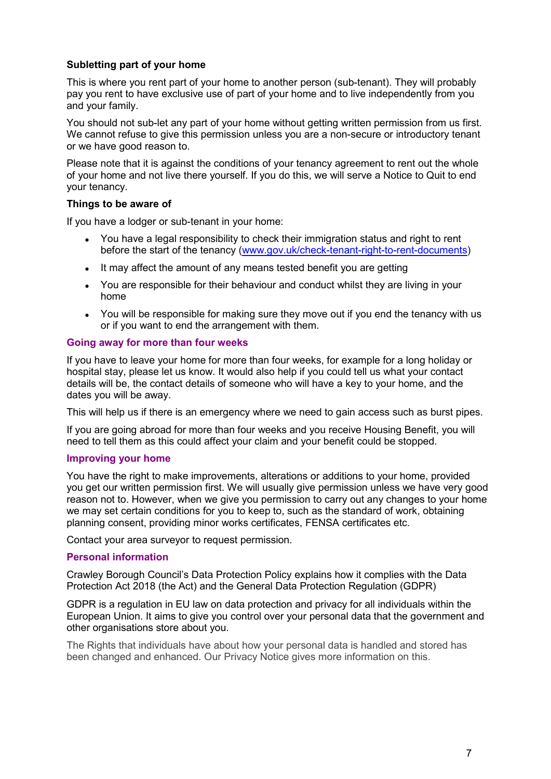## **Subletting part of your home**

This is where you rent part of your home to another person (sub-tenant). They will probably pay you rent to have exclusive use of part of your home and to live independently from you and your family.

You should not sub-let any part of your home without getting written permission from us first. We cannot refuse to give this permission unless you are a non-secure or introductory tenant or we have good reason to.

Please note that it is against the conditions of your tenancy agreement to rent out the whole of your home and not live there yourself. If you do this, we will serve a Notice to Quit to end your tenancy.

## **Things to be aware of**

If you have a lodger or sub-tenant in your home:

- You have a legal responsibility to check their immigration status and right to rent before the start of the tenancy [\(www.gov.uk/check-tenant-right-to-rent-documents\)](http://www.gov.uk/check-tenant-right-to-rent-documents)
- It may affect the amount of any means tested benefit you are getting
- You are responsible for their behaviour and conduct whilst they are living in your home
- You will be responsible for making sure they move out if you end the tenancy with us or if you want to end the arrangement with them.

#### <span id="page-7-0"></span>**Going away for more than four weeks**

If you have to leave your home for more than four weeks, for example for a long holiday or hospital stay, please let us know. It would also help if you could tell us what your contact details will be, the contact details of someone who will have a key to your home, and the dates you will be away.

This will help us if there is an emergency where we need to gain access such as burst pipes.

If you are going abroad for more than four weeks and you receive Housing Benefit, you will need to tell them as this could affect your claim and your benefit could be stopped.

## <span id="page-7-1"></span>**Improving your home**

You have the right to make improvements, alterations or additions to your home, provided you get our written permission first. We will usually give permission unless we have very good reason not to. However, when we give you permission to carry out any changes to your home we may set certain conditions for you to keep to, such as the standard of work, obtaining planning consent, providing minor works certificates, FENSA certificates etc.

Contact your area surveyor to request permission.

#### <span id="page-7-2"></span>**Personal information**

Crawley Borough Council's Data Protection Policy explains how it complies with the Data Protection Act 2018 (the Act) and the General Data Protection Regulation (GDPR)

GDPR is a regulation in EU law on data protection and privacy for all individuals within the European Union. It aims to give you control over your personal data that the government and other organisations store about you.

The Rights that individuals have about how your personal data is handled and stored has been changed and enhanced. Our Privacy Notice gives more information on this.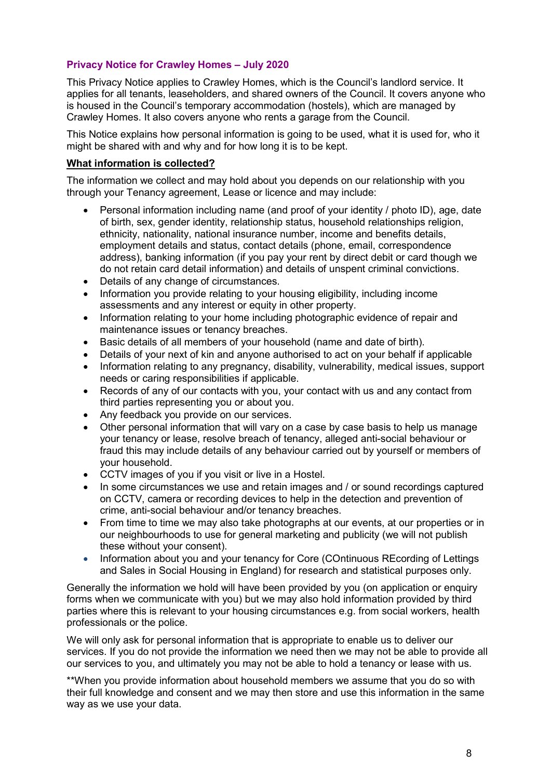## **Privacy Notice for Crawley Homes – July 2020**

This Privacy Notice applies to Crawley Homes, which is the Council's landlord service. It applies for all tenants, leaseholders, and shared owners of the Council. It covers anyone who is housed in the Council's temporary accommodation (hostels), which are managed by Crawley Homes. It also covers anyone who rents a garage from the Council.

This Notice explains how personal information is going to be used, what it is used for, who it might be shared with and why and for how long it is to be kept.

#### **What information is collected?**

The information we collect and may hold about you depends on our relationship with you through your Tenancy agreement, Lease or licence and may include:

- Personal information including name (and proof of your identity / photo ID), age, date of birth, sex, gender identity, relationship status, household relationships religion, ethnicity, nationality, national insurance number, income and benefits details, employment details and status, contact details (phone, email, correspondence address), banking information (if you pay your rent by direct debit or card though we do not retain card detail information) and details of unspent criminal convictions.
- Details of any change of circumstances.
- Information you provide relating to your housing eligibility, including income assessments and any interest or equity in other property.
- Information relating to your home including photographic evidence of repair and maintenance issues or tenancy breaches.
- Basic details of all members of your household (name and date of birth).
- Details of your next of kin and anyone authorised to act on your behalf if applicable
- Information relating to any pregnancy, disability, vulnerability, medical issues, support needs or caring responsibilities if applicable.
- Records of any of our contacts with you, your contact with us and any contact from third parties representing you or about you.
- Any feedback you provide on our services.
- Other personal information that will vary on a case by case basis to help us manage your tenancy or lease, resolve breach of tenancy, alleged anti-social behaviour or fraud this may include details of any behaviour carried out by yourself or members of your household.
- CCTV images of you if you visit or live in a Hostel.
- In some circumstances we use and retain images and / or sound recordings captured on CCTV, camera or recording devices to help in the detection and prevention of crime, anti-social behaviour and/or tenancy breaches.
- From time to time we may also take photographs at our events, at our properties or in our neighbourhoods to use for general marketing and publicity (we will not publish these without your consent).
- Information about you and your tenancy for Core (COntinuous REcording of Lettings and Sales in Social Housing in England) for research and statistical purposes only.

Generally the information we hold will have been provided by you (on application or enquiry forms when we communicate with you) but we may also hold information provided by third parties where this is relevant to your housing circumstances e.g. from social workers, health professionals or the police.

We will only ask for personal information that is appropriate to enable us to deliver our services. If you do not provide the information we need then we may not be able to provide all our services to you, and ultimately you may not be able to hold a tenancy or lease with us.

\*\*When you provide information about household members we assume that you do so with their full knowledge and consent and we may then store and use this information in the same way as we use your data.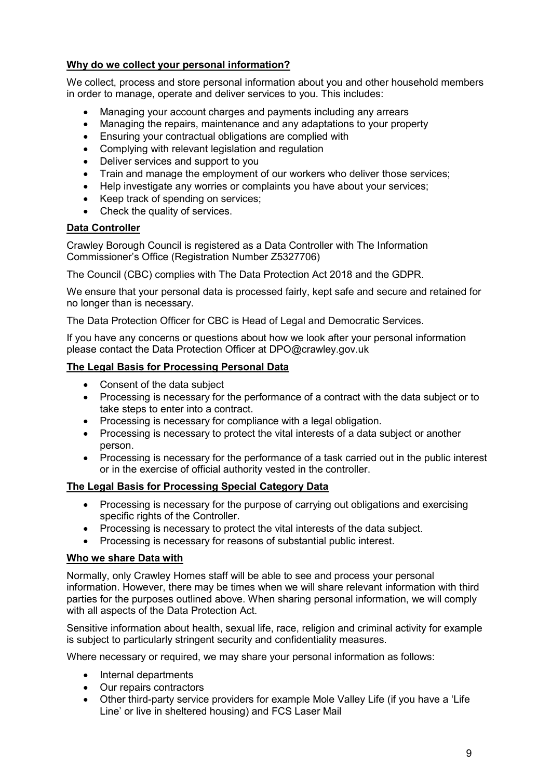## **Why do we collect your personal information?**

We collect, process and store personal information about you and other household members in order to manage, operate and deliver services to you. This includes:

- Managing your account charges and payments including any arrears
- Managing the repairs, maintenance and any adaptations to your property
- Ensuring your contractual obligations are complied with
- Complying with relevant legislation and regulation
- Deliver services and support to you
- Train and manage the employment of our workers who deliver those services;
- Help investigate any worries or complaints you have about your services;
- Keep track of spending on services;
- Check the quality of services.

## **Data Controller**

Crawley Borough Council is registered as a Data Controller with The Information Commissioner's Office (Registration Number Z5327706)

The Council (CBC) complies with The Data Protection Act 2018 and the GDPR.

We ensure that your personal data is processed fairly, kept safe and secure and retained for no longer than is necessary.

The Data Protection Officer for CBC is Head of Legal and Democratic Services.

If you have any concerns or questions about how we look after your personal information please contact the Data Protection Officer at DPO@crawley.gov.uk

## **The Legal Basis for Processing Personal Data**

- Consent of the data subject
- Processing is necessary for the performance of a contract with the data subject or to take steps to enter into a contract.
- Processing is necessary for compliance with a legal obligation.
- Processing is necessary to protect the vital interests of a data subject or another person.
- Processing is necessary for the performance of a task carried out in the public interest or in the exercise of official authority vested in the controller.

## **The Legal Basis for Processing Special Category Data**

- Processing is necessary for the purpose of carrying out obligations and exercising specific rights of the Controller.
- Processing is necessary to protect the vital interests of the data subject.
- Processing is necessary for reasons of substantial public interest.

## **Who we share Data with**

Normally, only Crawley Homes staff will be able to see and process your personal information. However, there may be times when we will share relevant information with third parties for the purposes outlined above. When sharing personal information, we will comply with all aspects of the Data Protection Act.

Sensitive information about health, sexual life, race, religion and criminal activity for example is subject to particularly stringent security and confidentiality measures.

Where necessary or required, we may share your personal information as follows:

- Internal departments
- Our repairs contractors
- Other third-party service providers for example Mole Valley Life (if you have a 'Life Line' or live in sheltered housing) and FCS Laser Mail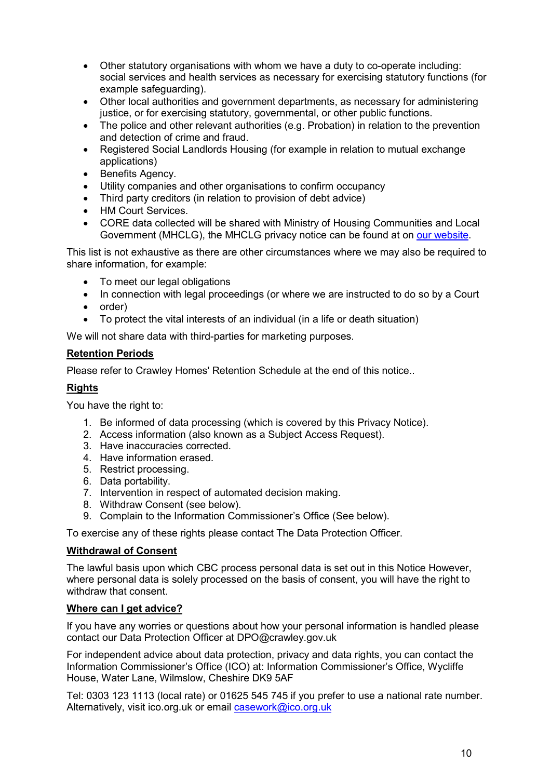- Other statutory organisations with whom we have a duty to co-operate including: social services and health services as necessary for exercising statutory functions (for example safeguarding).
- Other local authorities and government departments, as necessary for administering justice, or for exercising statutory, governmental, or other public functions.
- The police and other relevant authorities (e.g. Probation) in relation to the prevention and detection of crime and fraud.
- Registered Social Landlords Housing (for example in relation to mutual exchange applications)
- Benefits Agency.
- Utility companies and other organisations to confirm occupancy
- Third party creditors (in relation to provision of debt advice)
- HM Court Services.
- CORE data collected will be shared with Ministry of Housing Communities and Local Government (MHCLG), the MHCLG privacy notice can be found at on [our website.](https://crawley.gov.uk/sites/default/files/documents/PUB351154.pdf)

This list is not exhaustive as there are other circumstances where we may also be required to share information, for example:

- To meet our legal obligations
- In connection with legal proceedings (or where we are instructed to do so by a Court
- order)
- To protect the vital interests of an individual (in a life or death situation)

We will not share data with third-parties for marketing purposes.

#### **Retention Periods**

Please refer to Crawley Homes' Retention Schedule at the end of this notice..

#### **Rights**

You have the right to:

- 1. Be informed of data processing (which is covered by this Privacy Notice).
- 2. Access information (also known as a Subject Access Request).
- 3. Have inaccuracies corrected.
- 4. Have information erased.
- 5. Restrict processing.
- 6. Data portability.
- 7. Intervention in respect of automated decision making.
- 8. Withdraw Consent (see below).
- 9. Complain to the Information Commissioner's Office (See below).

To exercise any of these rights please contact The Data Protection Officer.

#### **Withdrawal of Consent**

The lawful basis upon which CBC process personal data is set out in this Notice However, where personal data is solely processed on the basis of consent, you will have the right to withdraw that consent.

#### **Where can I get advice?**

If you have any worries or questions about how your personal information is handled please contact our Data Protection Officer at DPO@crawley.gov.uk

For independent advice about data protection, privacy and data rights, you can contact the Information Commissioner's Office (ICO) at: Information Commissioner's Office, Wycliffe House, Water Lane, Wilmslow, Cheshire DK9 5AF

Tel: 0303 123 1113 (local rate) or 01625 545 745 if you prefer to use a national rate number. Alternatively, visit ico.org.uk or email [casework@ico.org.uk](mailto:casework@ico.org.uk)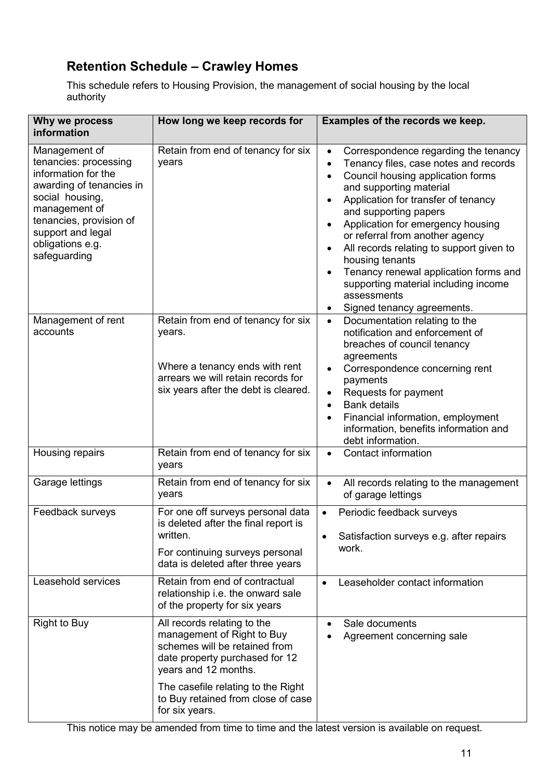# **Retention Schedule – Crawley Homes**

This schedule refers to Housing Provision, the management of social housing by the local authority

| Why we process<br>information                                                                                                                                                                                     | How long we keep records for                                                                                                                                  | Examples of the records we keep.                                                                                                                                                                                                                                                                                                                                                                                                                                                                                               |
|-------------------------------------------------------------------------------------------------------------------------------------------------------------------------------------------------------------------|---------------------------------------------------------------------------------------------------------------------------------------------------------------|--------------------------------------------------------------------------------------------------------------------------------------------------------------------------------------------------------------------------------------------------------------------------------------------------------------------------------------------------------------------------------------------------------------------------------------------------------------------------------------------------------------------------------|
| Management of<br>tenancies: processing<br>information for the<br>awarding of tenancies in<br>social housing,<br>management of<br>tenancies, provision of<br>support and legal<br>obligations e.g.<br>safeguarding | Retain from end of tenancy for six<br>years                                                                                                                   | Correspondence regarding the tenancy<br>$\bullet$<br>Tenancy files, case notes and records<br>$\bullet$<br>Council housing application forms<br>$\bullet$<br>and supporting material<br>Application for transfer of tenancy<br>and supporting papers<br>Application for emergency housing<br>or referral from another agency<br>All records relating to support given to<br>housing tenants<br>Tenancy renewal application forms and<br>supporting material including income<br>assessments<br>Signed tenancy agreements.<br>٠ |
| Management of rent<br>accounts                                                                                                                                                                                    | Retain from end of tenancy for six<br>years.<br>Where a tenancy ends with rent<br>arrears we will retain records for<br>six years after the debt is cleared.  | Documentation relating to the<br>$\bullet$<br>notification and enforcement of<br>breaches of council tenancy<br>agreements<br>Correspondence concerning rent<br>payments<br>Requests for payment<br>$\bullet$<br><b>Bank details</b><br>$\bullet$<br>Financial information, employment<br>information, benefits information and<br>debt information.                                                                                                                                                                           |
| Housing repairs                                                                                                                                                                                                   | Retain from end of tenancy for six<br>years                                                                                                                   | <b>Contact information</b><br>$\bullet$                                                                                                                                                                                                                                                                                                                                                                                                                                                                                        |
| Garage lettings                                                                                                                                                                                                   | Retain from end of tenancy for six<br>years                                                                                                                   | All records relating to the management<br>$\bullet$<br>of garage lettings                                                                                                                                                                                                                                                                                                                                                                                                                                                      |
| Feedback surveys                                                                                                                                                                                                  | For one off surveys personal data<br>is deleted after the final report is<br>written.<br>For continuing surveys personal<br>data is deleted after three years | Periodic feedback surveys<br>$\bullet$<br>Satisfaction surveys e.g. after repairs<br>work.                                                                                                                                                                                                                                                                                                                                                                                                                                     |
| Leasehold services                                                                                                                                                                                                | Retain from end of contractual<br>relationship i.e. the onward sale<br>of the property for six years                                                          | Leaseholder contact information<br>$\bullet$                                                                                                                                                                                                                                                                                                                                                                                                                                                                                   |
| <b>Right to Buy</b>                                                                                                                                                                                               | All records relating to the<br>management of Right to Buy<br>schemes will be retained from<br>date property purchased for 12<br>years and 12 months.          | Sale documents<br>Agreement concerning sale                                                                                                                                                                                                                                                                                                                                                                                                                                                                                    |
|                                                                                                                                                                                                                   | The casefile relating to the Right<br>to Buy retained from close of case<br>for six years.                                                                    |                                                                                                                                                                                                                                                                                                                                                                                                                                                                                                                                |

This notice may be amended from time to time and the latest version is available on request.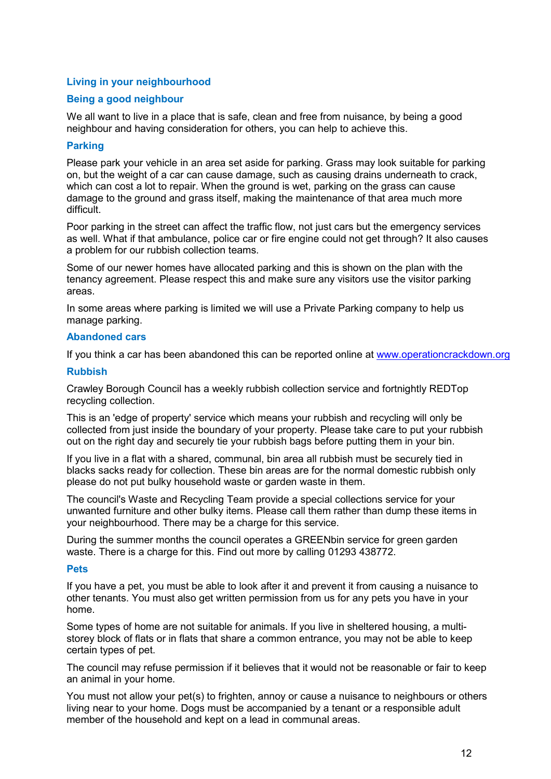## <span id="page-12-0"></span>**Living in your neighbourhood**

## **Being a good neighbour**

We all want to live in a place that is safe, clean and free from nuisance, by being a good neighbour and having consideration for others, you can help to achieve this.

#### **Parking**

Please park your vehicle in an area set aside for parking. Grass may look suitable for parking on, but the weight of a car can cause damage, such as causing drains underneath to crack, which can cost a lot to repair. When the ground is wet, parking on the grass can cause damage to the ground and grass itself, making the maintenance of that area much more difficult.

Poor parking in the street can affect the traffic flow, not just cars but the emergency services as well. What if that ambulance, police car or fire engine could not get through? It also causes a problem for our rubbish collection teams.

Some of our newer homes have allocated parking and this is shown on the plan with the tenancy agreement. Please respect this and make sure any visitors use the visitor parking areas.

In some areas where parking is limited we will use a Private Parking company to help us manage parking.

#### **Abandoned cars**

If you think a car has been abandoned this can be reported online at [www.operationcrackdown.org](http://www.operationcrackdown.org/)

#### **Rubbish**

Crawley Borough Council has a weekly rubbish collection service and fortnightly REDTop recycling collection.

This is an 'edge of property' service which means your rubbish and recycling will only be collected from just inside the boundary of your property. Please take care to put your rubbish out on the right day and securely tie your rubbish bags before putting them in your bin.

If you live in a flat with a shared, communal, bin area all rubbish must be securely tied in blacks sacks ready for collection. These bin areas are for the normal domestic rubbish only please do not put bulky household waste or garden waste in them.

The council's Waste and Recycling Team provide a special collections service for your unwanted furniture and other bulky items. Please call them rather than dump these items in your neighbourhood. There may be a charge for this service.

During the summer months the council operates a GREENbin service for green garden waste. There is a charge for this. Find out more by calling 01293 438772.

#### **Pets**

If you have a pet, you must be able to look after it and prevent it from causing a nuisance to other tenants. You must also get written permission from us for any pets you have in your home.

Some types of home are not suitable for animals. If you live in sheltered housing, a multistorey block of flats or in flats that share a common entrance, you may not be able to keep certain types of pet.

The council may refuse permission if it believes that it would not be reasonable or fair to keep an animal in your home.

You must not allow your pet(s) to frighten, annoy or cause a nuisance to neighbours or others living near to your home. Dogs must be accompanied by a tenant or a responsible adult member of the household and kept on a lead in communal areas.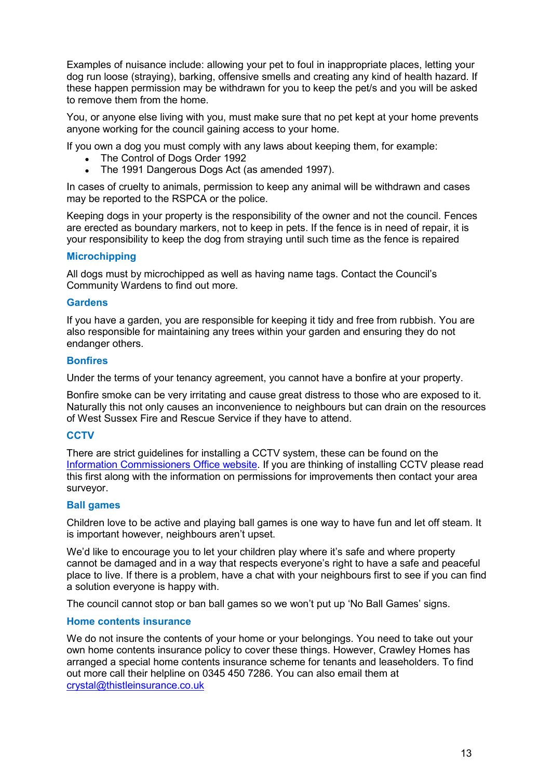Examples of nuisance include: allowing your pet to foul in inappropriate places, letting your dog run loose (straying), barking, offensive smells and creating any kind of health hazard. If these happen permission may be withdrawn for you to keep the pet/s and you will be asked to remove them from the home.

You, or anyone else living with you, must make sure that no pet kept at your home prevents anyone working for the council gaining access to your home.

If you own a dog you must comply with any laws about keeping them, for example:

- The Control of Dogs Order 1992
- The 1991 Dangerous Dogs Act (as amended 1997).

In cases of cruelty to animals, permission to keep any animal will be withdrawn and cases may be reported to the RSPCA or the police.

Keeping dogs in your property is the responsibility of the owner and not the council. Fences are erected as boundary markers, not to keep in pets. If the fence is in need of repair, it is your responsibility to keep the dog from straying until such time as the fence is repaired

## **Microchipping**

All dogs must by microchipped as well as having name tags. Contact the Council's Community Wardens to find out more.

#### **Gardens**

If you have a garden, you are responsible for keeping it tidy and free from rubbish. You are also responsible for maintaining any trees within your garden and ensuring they do not endanger others.

#### **Bonfires**

Under the terms of your tenancy agreement, you cannot have a bonfire at your property.

Bonfire smoke can be very irritating and cause great distress to those who are exposed to it. Naturally this not only causes an inconvenience to neighbours but can drain on the resources of West Sussex Fire and Rescue Service if they have to attend.

## **CCTV**

There are strict guidelines for installing a CCTV system, these can be found on the [Information Commissioners Office website.](https://ico.org.uk/your-data-matters/domestic-cctv-systems-guidance-for-people-using-cctv/) If you are thinking of installing CCTV please read this first along with the information on permissions for improvements then contact your area surveyor.

## **Ball games**

Children love to be active and playing ball games is one way to have fun and let off steam. It is important however, neighbours aren't upset.

We'd like to encourage you to let your children play where it's safe and where property cannot be damaged and in a way that respects everyone's right to have a safe and peaceful place to live. If there is a problem, have a chat with your neighbours first to see if you can find a solution everyone is happy with.

The council cannot stop or ban ball games so we won't put up 'No Ball Games' signs.

## **Home contents insurance**

We do not insure the contents of your home or your belongings. You need to take out your own home contents insurance policy to cover these things. However, Crawley Homes has arranged a special home contents insurance scheme for tenants and leaseholders. To find out more call their helpline on 0345 450 7286. You can also email them at [crystal@thistleinsurance.co.uk](mailto:crystal@thistleinsurance.co.uk)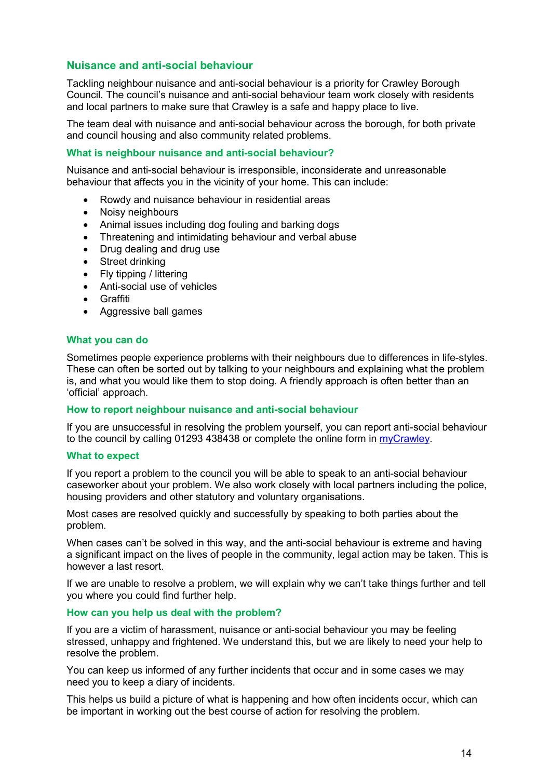## <span id="page-14-0"></span>**Nuisance and anti-social behaviour**

Tackling neighbour nuisance and anti-social behaviour is a priority for Crawley Borough Council. The council's nuisance and anti-social behaviour team work closely with residents and local partners to make sure that Crawley is a safe and happy place to live.

The team deal with nuisance and anti-social behaviour across the borough, for both private and council housing and also community related problems.

#### **What is neighbour nuisance and anti-social behaviour?**

Nuisance and anti-social behaviour is irresponsible, inconsiderate and unreasonable behaviour that affects you in the vicinity of your home. This can include:

- Rowdy and nuisance behaviour in residential areas
- Noisy neighbours
- Animal issues including dog fouling and barking dogs
- Threatening and intimidating behaviour and verbal abuse
- Drug dealing and drug use
- Street drinking
- Fly tipping / littering
- Anti-social use of vehicles
- Graffiti
- Aggressive ball games

#### **What you can do**

Sometimes people experience problems with their neighbours due to differences in life-styles. These can often be sorted out by talking to your neighbours and explaining what the problem is, and what you would like them to stop doing. A friendly approach is often better than an 'official' approach.

#### **How to report neighbour nuisance and anti-social behaviour**

If you are unsuccessful in resolving the problem yourself, you can report anti-social behaviour to the council by calling 01293 438438 or complete the online form in [myCrawley.](https://my.crawley.gov.uk/en/AchieveForms/?form_uri=sandbox-publish://AF-Process-4e74b1e1-17cf-441d-ad01-b1292053bf14/AF-Stage-ed7c047e-6452-499e-ba15-5b38ab2937c9/definition.json&redirectlink=%2Fen&cancelRedirectLink=%2Fen&consentMessage=yes)

#### **What to expect**

If you report a problem to the council you will be able to speak to an anti-social behaviour caseworker about your problem. We also work closely with local partners including the police, housing providers and other statutory and voluntary organisations.

Most cases are resolved quickly and successfully by speaking to both parties about the problem.

When cases can't be solved in this way, and the anti-social behaviour is extreme and having a significant impact on the lives of people in the community, legal action may be taken. This is however a last resort.

If we are unable to resolve a problem, we will explain why we can't take things further and tell you where you could find further help.

#### **How can you help us deal with the problem?**

If you are a victim of harassment, nuisance or anti-social behaviour you may be feeling stressed, unhappy and frightened. We understand this, but we are likely to need your help to resolve the problem.

You can keep us informed of any further incidents that occur and in some cases we may need you to keep a diary of incidents.

This helps us build a picture of what is happening and how often incidents occur, which can be important in working out the best course of action for resolving the problem.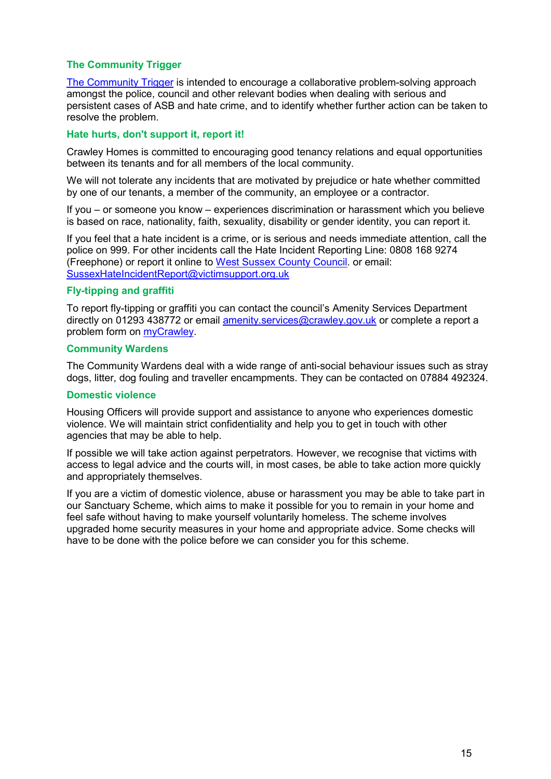## **The Community Trigger**

[The Community Trigger](https://crawley.gov.uk/community/protecting-crawley/anti-social-behaviour/community-trigger) is intended to encourage a collaborative problem-solving approach amongst the police, council and other relevant bodies when dealing with serious and persistent cases of ASB and hate crime, and to identify whether further action can be taken to resolve the problem.

## **Hate hurts, don't support it, report it!**

Crawley Homes is committed to encouraging good tenancy relations and equal opportunities between its tenants and for all members of the local community.

We will not tolerate any incidents that are motivated by prejudice or hate whether committed by one of our tenants, a member of the community, an employee or a contractor.

If you – or someone you know – experiences discrimination or harassment which you believe is based on race, nationality, faith, sexuality, disability or gender identity, you can report it.

If you feel that a hate incident is a crime, or is serious and needs immediate attention, call the police on 999. For other incidents call the Hate Incident Reporting Line: 0808 168 9274 (Freephone) or report it online to [West Sussex County Council.](https://www.westsussex.gov.uk/fire-emergencies-and-crime/report-problems-in-your-area/report-a-hate-crime/) or email: [SussexHateIncidentReport@victimsupport.org.uk](mailto:SussexHateIncidentReport@victimsupport.org.uk)

#### **Fly-tipping and graffiti**

To report fly-tipping or graffiti you can contact the council's Amenity Services Department directly on 01293 438772 or email [amenity.services@crawley.gov.uk](mailto:amenity.services@crawley.gov.uk) or complete a report a problem form on [myCrawley.](https://my.crawley.gov.uk/service/Tell_Us_About_A_Problem)

#### **Community Wardens**

The Community Wardens deal with a wide range of anti-social behaviour issues such as stray dogs, litter, dog fouling and traveller encampments. They can be contacted on 07884 492324.

#### **Domestic violence**

Housing Officers will provide support and assistance to anyone who experiences domestic violence. We will maintain strict confidentiality and help you to get in touch with other agencies that may be able to help.

If possible we will take action against perpetrators. However, we recognise that victims with access to legal advice and the courts will, in most cases, be able to take action more quickly and appropriately themselves.

If you are a victim of domestic violence, abuse or harassment you may be able to take part in our Sanctuary Scheme, which aims to make it possible for you to remain in your home and feel safe without having to make yourself voluntarily homeless. The scheme involves upgraded home security measures in your home and appropriate advice. Some checks will have to be done with the police before we can consider you for this scheme.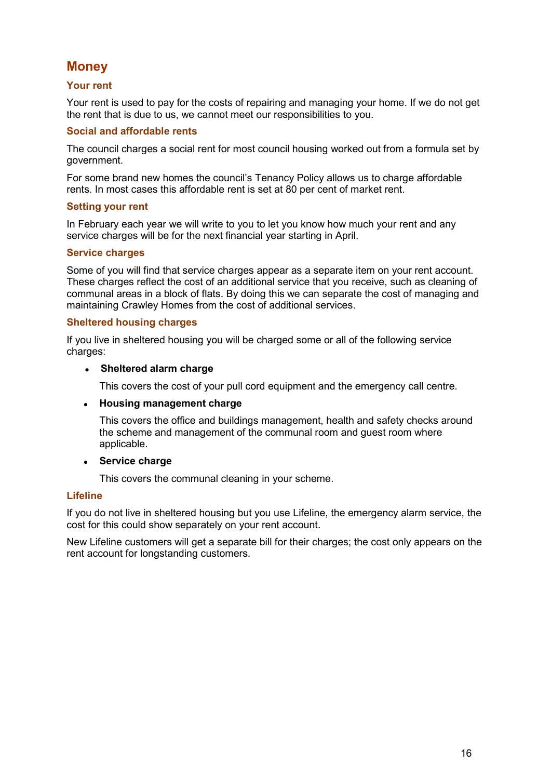# <span id="page-16-0"></span>**Money**

## <span id="page-16-1"></span>**Your rent**

Your rent is used to pay for the costs of repairing and managing your home. If we do not get the rent that is due to us, we cannot meet our responsibilities to you.

## **Social and affordable rents**

The council charges a social rent for most council housing worked out from a formula set by government.

For some brand new homes the council's Tenancy Policy allows us to charge affordable rents. In most cases this affordable rent is set at 80 per cent of market rent.

## **Setting your rent**

In February each year we will write to you to let you know how much your rent and any service charges will be for the next financial year starting in April.

## **Service charges**

Some of you will find that service charges appear as a separate item on your rent account. These charges reflect the cost of an additional service that you receive, such as cleaning of communal areas in a block of flats. By doing this we can separate the cost of managing and maintaining Crawley Homes from the cost of additional services.

## **Sheltered housing charges**

If you live in sheltered housing you will be charged some or all of the following service charges:

#### **Sheltered alarm charge**

This covers the cost of your pull cord equipment and the emergency call centre.

## **Housing management charge**

This covers the office and buildings management, health and safety checks around the scheme and management of the communal room and guest room where applicable.

## **Service charge**

This covers the communal cleaning in your scheme.

## **Lifeline**

If you do not live in sheltered housing but you use Lifeline, the emergency alarm service, the cost for this could show separately on your rent account.

New Lifeline customers will get a separate bill for their charges; the cost only appears on the rent account for longstanding customers.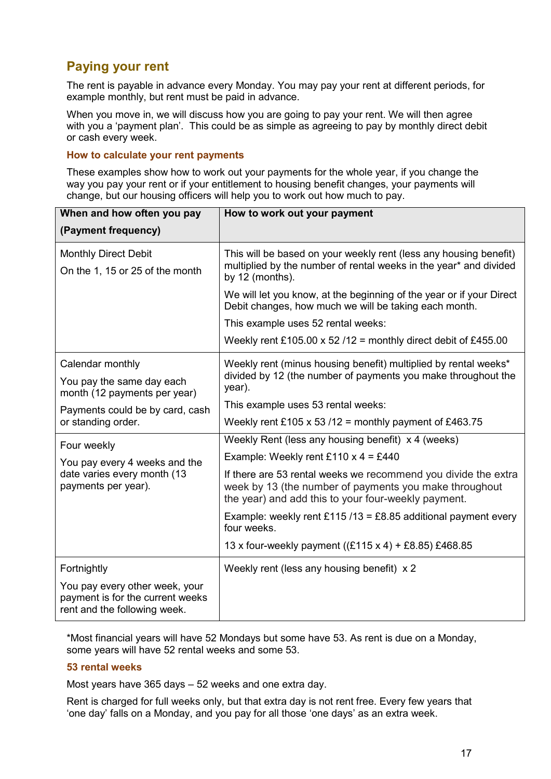# **Paying your rent**

The rent is payable in advance every Monday. You may pay your rent at different periods, for example monthly, but rent must be paid in advance.

When you move in, we will discuss how you are going to pay your rent. We will then agree with you a 'payment plan'. This could be as simple as agreeing to pay by monthly direct debit or cash every week.

#### **How to calculate your rent payments**

These examples show how to work out your payments for the whole year, if you change the way you pay your rent or if your entitlement to housing benefit changes, your payments will change, but our housing officers will help you to work out how much to pay.

| When and how often you pay                                                                         | How to work out your payment                                                                                                                                                    |  |  |  |
|----------------------------------------------------------------------------------------------------|---------------------------------------------------------------------------------------------------------------------------------------------------------------------------------|--|--|--|
| (Payment frequency)                                                                                |                                                                                                                                                                                 |  |  |  |
| <b>Monthly Direct Debit</b><br>On the 1, 15 or 25 of the month                                     | This will be based on your weekly rent (less any housing benefit)<br>multiplied by the number of rental weeks in the year* and divided<br>by 12 (months).                       |  |  |  |
|                                                                                                    | We will let you know, at the beginning of the year or if your Direct<br>Debit changes, how much we will be taking each month.                                                   |  |  |  |
|                                                                                                    | This example uses 52 rental weeks:                                                                                                                                              |  |  |  |
|                                                                                                    | Weekly rent £105.00 x 52 /12 = monthly direct debit of £455.00                                                                                                                  |  |  |  |
| Calendar monthly                                                                                   | Weekly rent (minus housing benefit) multiplied by rental weeks*                                                                                                                 |  |  |  |
| You pay the same day each<br>month (12 payments per year)                                          | divided by 12 (the number of payments you make throughout the<br>year).                                                                                                         |  |  |  |
| Payments could be by card, cash                                                                    | This example uses 53 rental weeks:                                                                                                                                              |  |  |  |
| or standing order.                                                                                 | Weekly rent £105 x 53 /12 = monthly payment of £463.75                                                                                                                          |  |  |  |
| Four weekly                                                                                        | Weekly Rent (less any housing benefit) x 4 (weeks)                                                                                                                              |  |  |  |
| You pay every 4 weeks and the                                                                      | Example: Weekly rent £110 x 4 = £440                                                                                                                                            |  |  |  |
| date varies every month (13<br>payments per year).                                                 | If there are 53 rental weeks we recommend you divide the extra<br>week by 13 (the number of payments you make throughout<br>the year) and add this to your four-weekly payment. |  |  |  |
|                                                                                                    | Example: weekly rent £115 /13 = £8.85 additional payment every<br>four weeks.                                                                                                   |  |  |  |
|                                                                                                    | 13 x four-weekly payment ((£115 x 4) + £8.85) £468.85                                                                                                                           |  |  |  |
| Fortnightly                                                                                        | Weekly rent (less any housing benefit) x 2                                                                                                                                      |  |  |  |
| You pay every other week, your<br>payment is for the current weeks<br>rent and the following week. |                                                                                                                                                                                 |  |  |  |

\*Most financial years will have 52 Mondays but some have 53. As rent is due on a Monday, some years will have 52 rental weeks and some 53.

## **53 rental weeks**

Most years have 365 days – 52 weeks and one extra day.

Rent is charged for full weeks only, but that extra day is not rent free. Every few years that 'one day' falls on a Monday, and you pay for all those 'one days' as an extra week.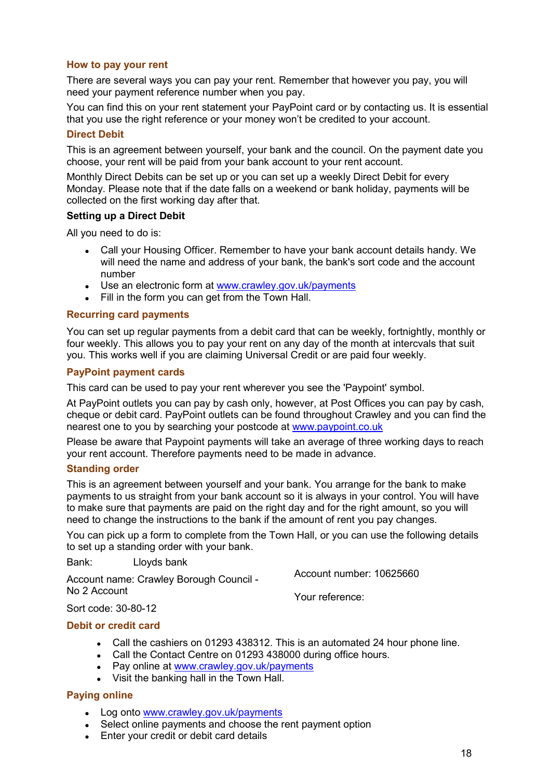## **How to pay your rent**

There are several ways you can pay your rent. Remember that however you pay, you will need your payment reference number when you pay.

You can find this on your rent statement your PayPoint card or by contacting us. It is essential that you use the right reference or your money won't be credited to your account.

#### **Direct Debit**

This is an agreement between yourself, your bank and the council. On the payment date you choose, your rent will be paid from your bank account to your rent account.

Monthly Direct Debits can be set up or you can set up a weekly Direct Debit for every Monday. Please note that if the date falls on a weekend or bank holiday, payments will be collected on the first working day after that.

#### **Setting up a Direct Debit**

All you need to do is:

- Call your Housing Officer. Remember to have your bank account details handy. We will need the name and address of your bank, the bank's sort code and the account number
- Use an electronic form at [www.crawley.gov.uk/payments](http://www.crawley.gov.uk/payments)
- Fill in the form you can get from the Town Hall.

#### **Recurring card payments**

You can set up regular payments from a debit card that can be weekly, fortnightly, monthly or four weekly. This allows you to pay your rent on any day of the month at intercvals that suit you. This works well if you are claiming Universal Credit or are paid four weekly.

#### **PayPoint payment cards**

This card can be used to pay your rent wherever you see the 'Paypoint' symbol.

At PayPoint outlets you can pay by cash only, however, at Post Offices you can pay by cash, cheque or debit card. PayPoint outlets can be found throughout Crawley and you can find the nearest one to you by searching your postcode at [www.paypoint.co.uk](http://www.paypoint.co.uk/)

Please be aware that Paypoint payments will take an average of three working days to reach your rent account. Therefore payments need to be made in advance.

#### **Standing order**

This is an agreement between yourself and your bank. You arrange for the bank to make payments to us straight from your bank account so it is always in your control. You will have to make sure that payments are paid on the right day and for the right amount, so you will need to change the instructions to the bank if the amount of rent you pay changes.

You can pick up a form to complete from the Town Hall, or you can use the following details to set up a standing order with your bank.

Bank: Lloyds bank

Account name: Crawley Borough Council - No 2 Account Account number: 10625660 Your reference:

Sort code: 30-80-12

#### **Debit or credit card**

- Call the cashiers on 01293 438312. This is an automated 24 hour phone line.
- Call the Contact Centre on 01293 438000 during office hours.
- Pay online at [www.crawley.gov.uk/payments](http://www.crawley.gov.uk/payments)
- Visit the banking hall in the Town Hall.

#### **Paying online**

- Log onto [www.crawley.gov.uk/payments](http://www.crawley.gov.uk/payments)
- Select online payments and choose the rent payment option
- Enter your credit or debit card details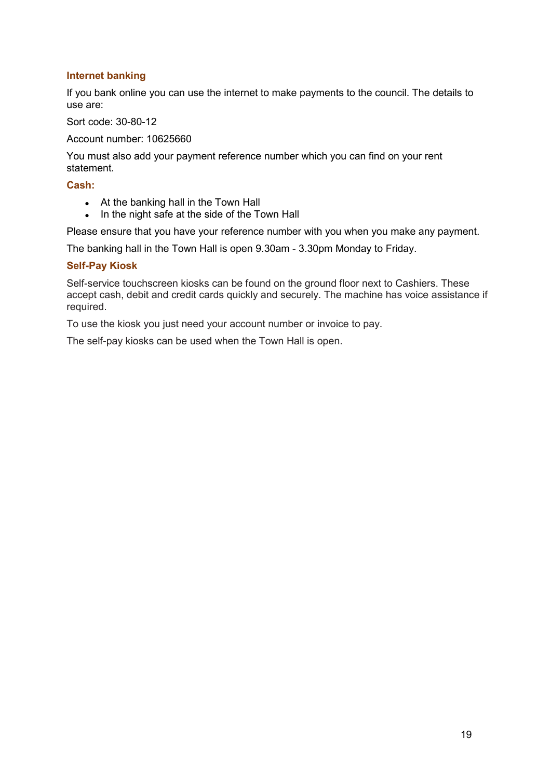## **Internet banking**

If you bank online you can use the internet to make payments to the council. The details to use are:

Sort code: 30-80-12

Account number: 10625660

You must also add your payment reference number which you can find on your rent statement.

#### **Cash:**

- At the banking hall in the Town Hall
- In the night safe at the side of the Town Hall

Please ensure that you have your reference number with you when you make any payment.

The banking hall in the Town Hall is open 9.30am - 3.30pm Monday to Friday.

#### **Self-Pay Kiosk**

Self-service touchscreen kiosks can be found on the ground floor next to Cashiers. These accept cash, debit and credit cards quickly and securely. The machine has voice assistance if required.

To use the kiosk you just need your account number or invoice to pay.

The self-pay kiosks can be used when the Town Hall is open.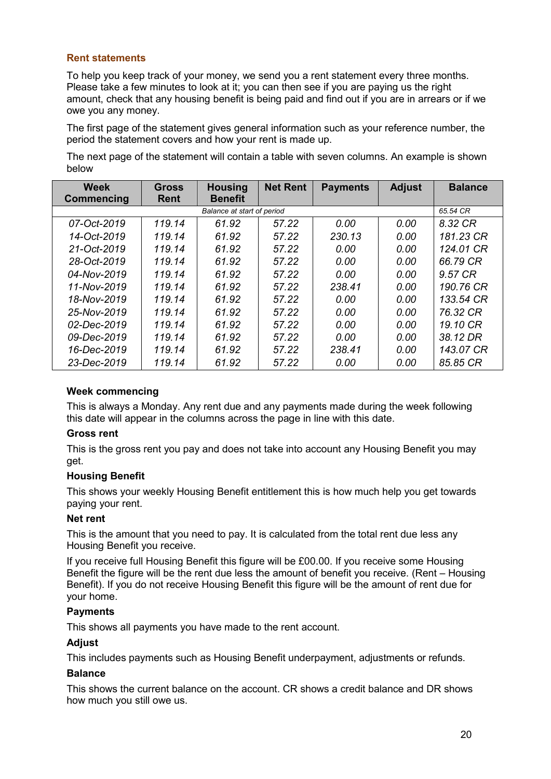## <span id="page-20-0"></span>**Rent statements**

To help you keep track of your money, we send you a rent statement every three months. Please take a few minutes to look at it; you can then see if you are paying us the right amount, check that any housing benefit is being paid and find out if you are in arrears or if we owe you any money.

The first page of the statement gives general information such as your reference number, the period the statement covers and how your rent is made up.

The next page of the statement will contain a table with seven columns. An example is shown below

| <b>Week</b><br>Commencing  | Gross<br><b>Rent</b> | <b>Housing</b><br><b>Benefit</b> | <b>Net Rent</b> | <b>Payments</b> | <b>Adjust</b> | <b>Balance</b> |
|----------------------------|----------------------|----------------------------------|-----------------|-----------------|---------------|----------------|
| Balance at start of period |                      |                                  |                 | 65.54 CR        |               |                |
| 07-Oct-2019                | 119.14               | 61.92                            | 57.22           | 0.00            | 0.00          | 8.32 CR        |
| 14-Oct-2019                | 119.14               | 61.92                            | 57.22           | 230.13          | 0.00          | 181.23 CR      |
| 21-Oct-2019                | 119.14               | 61.92                            | 57.22           | 0.00            | 0.00          | 124.01 CR      |
| 28-Oct-2019                | 119.14               | 61.92                            | 57.22           | 0.00            | 0.00          | 66.79 CR       |
| 04-Nov-2019                | 119.14               | 61.92                            | 57.22           | 0.00            | 0.00          | 9.57 CR        |
| 11-Nov-2019                | 119.14               | 61.92                            | 57.22           | 238.41          | 0.00          | 190.76 CR      |
| 18-Nov-2019                | 119.14               | 61.92                            | 57.22           | 0.00            | 0.00          | 133.54 CR      |
| 25-Nov-2019                | 119.14               | 61.92                            | 57.22           | 0.00            | 0.00          | 76.32 CR       |
| 02-Dec-2019                | 119.14               | 61.92                            | 57.22           | 0.00            | 0.00          | 19.10 CR       |
| 09-Dec-2019                | 119.14               | 61.92                            | 57.22           | 0.00            | 0.00          | 38.12 DR       |
| 16-Dec-2019                | 119.14               | 61.92                            | 57.22           | 238.41          | 0.00          | 143.07 CR      |
| 23-Dec-2019                | 119.14               | 61.92                            | 57.22           | 0.00            | 0.00          | 85.85 CR       |

## **Week commencing**

This is always a Monday. Any rent due and any payments made during the week following this date will appear in the columns across the page in line with this date.

## **Gross rent**

This is the gross rent you pay and does not take into account any Housing Benefit you may get.

## **Housing Benefit**

This shows your weekly Housing Benefit entitlement this is how much help you get towards paying your rent.

## **Net rent**

This is the amount that you need to pay. It is calculated from the total rent due less any Housing Benefit you receive.

If you receive full Housing Benefit this figure will be £00.00. If you receive some Housing Benefit the figure will be the rent due less the amount of benefit you receive. (Rent – Housing Benefit). If you do not receive Housing Benefit this figure will be the amount of rent due for your home.

## **Payments**

This shows all payments you have made to the rent account.

## **Adjust**

This includes payments such as Housing Benefit underpayment, adjustments or refunds.

#### **Balance**

This shows the current balance on the account. CR shows a credit balance and DR shows how much you still owe us.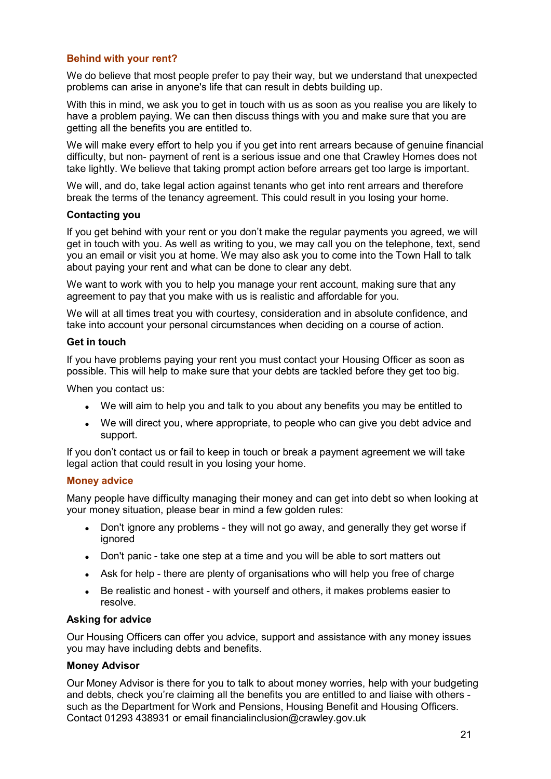## <span id="page-21-0"></span>**Behind with your rent?**

We do believe that most people prefer to pay their way, but we understand that unexpected problems can arise in anyone's life that can result in debts building up.

With this in mind, we ask you to get in touch with us as soon as you realise you are likely to have a problem paying. We can then discuss things with you and make sure that you are getting all the benefits you are entitled to.

We will make every effort to help you if you get into rent arrears because of genuine financial difficulty, but non- payment of rent is a serious issue and one that Crawley Homes does not take lightly. We believe that taking prompt action before arrears get too large is important.

We will, and do, take legal action against tenants who get into rent arrears and therefore break the terms of the tenancy agreement. This could result in you losing your home.

#### **Contacting you**

If you get behind with your rent or you don't make the regular payments you agreed, we will get in touch with you. As well as writing to you, we may call you on the telephone, text, send you an email or visit you at home. We may also ask you to come into the Town Hall to talk about paying your rent and what can be done to clear any debt.

We want to work with you to help you manage your rent account, making sure that any agreement to pay that you make with us is realistic and affordable for you.

We will at all times treat you with courtesy, consideration and in absolute confidence, and take into account your personal circumstances when deciding on a course of action.

#### **Get in touch**

If you have problems paying your rent you must contact your Housing Officer as soon as possible. This will help to make sure that your debts are tackled before they get too big.

When you contact us:

- We will aim to help you and talk to you about any benefits you may be entitled to
- We will direct you, where appropriate, to people who can give you debt advice and support.

If you don't contact us or fail to keep in touch or break a payment agreement we will take legal action that could result in you losing your home.

## <span id="page-21-1"></span>**Money advice**

Many people have difficulty managing their money and can get into debt so when looking at your money situation, please bear in mind a few golden rules:

- Don't ignore any problems they will not go away, and generally they get worse if ignored
- Don't panic take one step at a time and you will be able to sort matters out
- Ask for help there are plenty of organisations who will help you free of charge
- Be realistic and honest with yourself and others, it makes problems easier to resolve.

## **Asking for advice**

Our Housing Officers can offer you advice, support and assistance with any money issues you may have including debts and benefits.

## **Money Advisor**

Our Money Advisor is there for you to talk to about money worries, help with your budgeting and debts, check you're claiming all the benefits you are entitled to and liaise with others such as the Department for Work and Pensions, Housing Benefit and Housing Officers. Contact 01293 438931 or email financialinclusion@crawley.gov.uk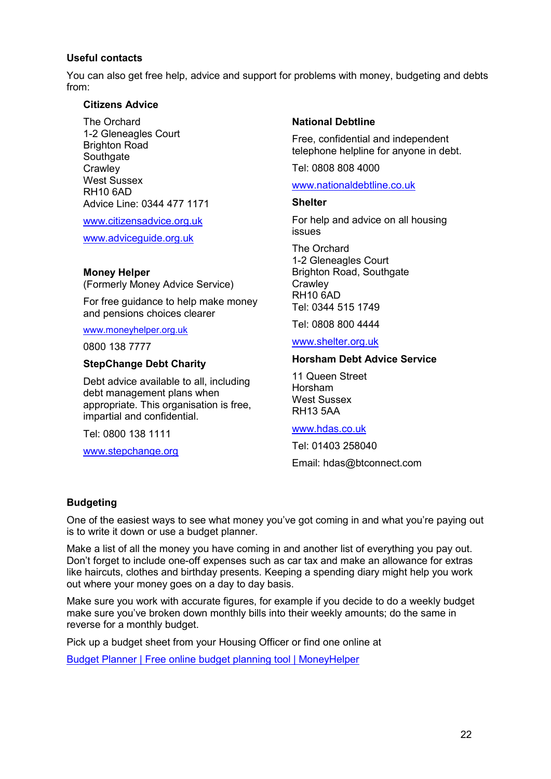#### **Useful contacts**

You can also get free help, advice and support for problems with money, budgeting and debts from:

#### **Citizens Advice**

The Orchard 1-2 Gleneagles Court Brighton Road **Southgate Crawley** West Sussex RH10 6AD Advice Line: 0344 477 1171

[www.citizensadvice.org.uk](http://www.citizensadvice.org.uk/)

[www.adviceguide.org.uk](http://www.adviceguide.org.uk/)

#### **Money Helper**

(Formerly Money Advice Service)

For free guidance to help make money and pensions choices clearer

#### www.moneyhelper.org.uk

0800 138 7777

#### **StepChange Debt Charity**

Debt advice available to all, including debt management plans when appropriate. This organisation is free, impartial and confidential.

Tel: 0800 138 1111

[www.stepchange.org](http://www.stepchange.org/)

#### **National Debtline**

Free, confidential and independent telephone helpline for anyone in debt.

Tel: 0808 808 4000

#### [www.nationaldebtline.co.uk](http://www.nationaldebtline.co.uk/)

#### **Shelter**

For help and advice on all housing issues

The Orchard 1-2 Gleneagles Court Brighton Road, Southgate **Crawley** RH10 6AD Tel: 0344 515 1749

Tel: 0808 800 4444

#### [www.shelter.org.uk](http://www.shelter.org.uk/)

## **Horsham Debt Advice Service**

11 Queen Street Horsham West Sussex RH13 5AA

#### [www.hdas.co.uk](http://www.hdas.co.uk/)

Tel: 01403 258040 Email: hdas@btconnect.com

#### **Budgeting**

One of the easiest ways to see what money you've got coming in and what you're paying out is to write it down or use a budget planner.

Make a list of all the money you have coming in and another list of everything you pay out. Don't forget to include one-off expenses such as car tax and make an allowance for extras like haircuts, clothes and birthday presents. Keeping a spending diary might help you work out where your money goes on a day to day basis.

Make sure you work with accurate figures, for example if you decide to do a weekly budget make sure you've broken down monthly bills into their weekly amounts; do the same in reverse for a monthly budget.

Pick up a budget sheet from your Housing Officer or find one online at

[Budget Planner | Free online budget planning tool | MoneyHelper](https://www.moneyhelper.org.uk/en/everyday-money/budgeting/budget-planner?source=mas)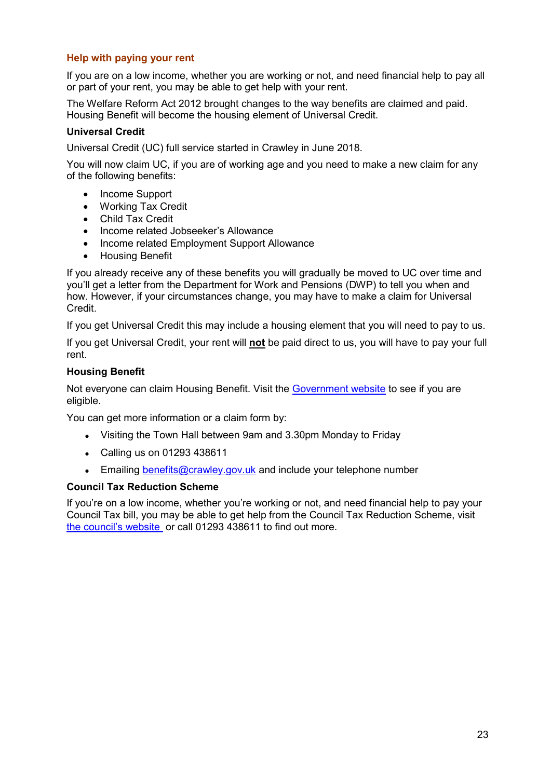## <span id="page-23-0"></span>**Help with paying your rent**

If you are on a low income, whether you are working or not, and need financial help to pay all or part of your rent, you may be able to get help with your rent.

The Welfare Reform Act 2012 brought changes to the way benefits are claimed and paid. Housing Benefit will become the housing element of Universal Credit.

## **Universal Credit**

Universal Credit (UC) full service started in Crawley in June 2018.

You will now claim UC, if you are of working age and you need to make a new claim for any of the following benefits:

- Income Support
- Working Tax Credit
- Child Tax Credit
- Income related Jobseeker's Allowance
- Income related Employment Support Allowance
- Housing Benefit

If you already receive any of these benefits you will gradually be moved to UC over time and you'll get a letter from the Department for Work and Pensions (DWP) to tell you when and how. However, if your circumstances change, you may have to make a claim for Universal Credit.

If you get Universal Credit this may include a housing element that you will need to pay to us.

If you get Universal Credit, your rent will **not** be paid direct to us, you will have to pay your full rent.

## **Housing Benefit**

Not everyone can claim Housing Benefit. Visit the [Government website](https://www.gov.uk/housing-benefit) to see if you are eligible.

You can get more information or a claim form by:

- Visiting the Town Hall between 9am and 3.30pm Monday to Friday
- Calling us on 01293 438611
- **Emailing [benefits@crawley.gov.uk](mailto:benefits@crawley.gov.uk) and include your telephone number**

## **Council Tax Reduction Scheme**

<span id="page-23-1"></span>If you're on a low income, whether you're working or not, and need financial help to pay your Council Tax bill, you may be able to get help from the Council Tax Reduction Scheme, visit [the council's website](https://crawley.gov.uk/council-tax-and-benefits) or call 01293 438611 to find out more.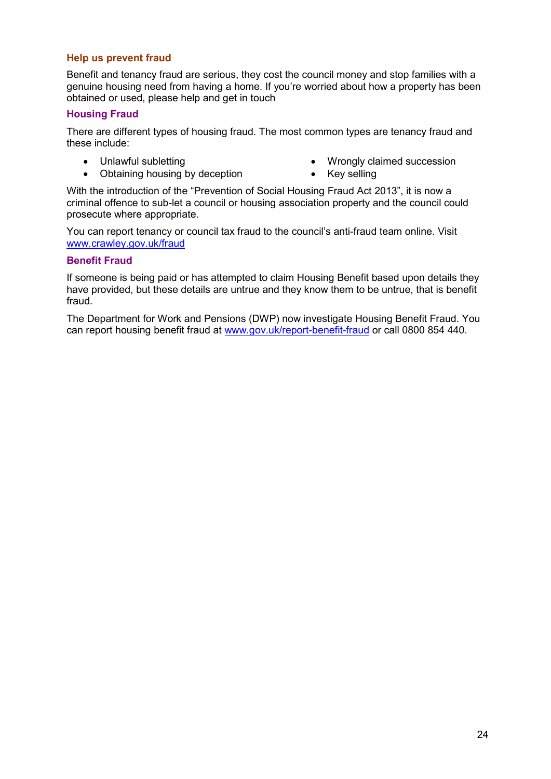#### **Help us prevent fraud**

Benefit and tenancy fraud are serious, they cost the council money and stop families with a genuine housing need from having a home. If you're worried about how a property has been obtained or used, please help and get in touch

#### **Housing Fraud**

There are different types of housing fraud. The most common types are tenancy fraud and these include:

- Unlawful subletting
- Obtaining housing by deception
- Wrongly claimed succession
- Key selling

With the introduction of the "Prevention of Social Housing Fraud Act 2013", it is now a criminal offence to sub-let a council or housing association property and the council could prosecute where appropriate.

You can report tenancy or council tax fraud to the council's anti-fraud team online. Visit [www.crawley.gov.uk/fraud](http://www.crawley.gov.uk/fraud)

#### **Benefit Fraud**

If someone is being paid or has attempted to claim Housing Benefit based upon details they have provided, but these details are untrue and they know them to be untrue, that is benefit fraud.

The Department for Work and Pensions (DWP) now investigate Housing Benefit Fraud. You can report housing benefit fraud at [www.gov.uk/report-benefit-fraud](http://www.gov.uk/report-benefit-fraud) or call 0800 854 440.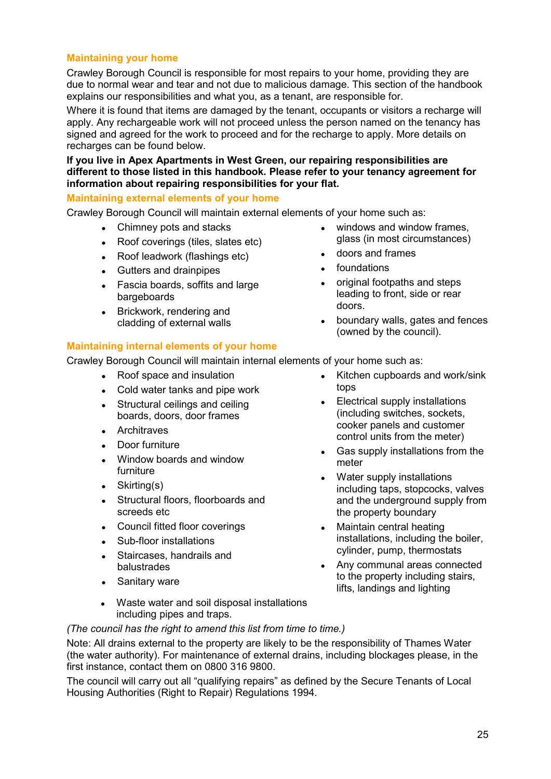## <span id="page-25-0"></span>**Maintaining your home**

Crawley Borough Council is responsible for most repairs to your home, providing they are due to normal wear and tear and not due to malicious damage. This section of the handbook explains our responsibilities and what you, as a tenant, are responsible for.

Where it is found that items are damaged by the tenant, occupants or visitors a recharge will apply. Any rechargeable work will not proceed unless the person named on the tenancy has signed and agreed for the work to proceed and for the recharge to apply. More details on recharges can be found below.

**If you live in Apex Apartments in West Green, our repairing responsibilities are different to those listed in this handbook. Please refer to your tenancy agreement for information about repairing responsibilities for your flat.**

## **Maintaining external elements of your home**

Crawley Borough Council will maintain external elements of your home such as:

- Chimney pots and stacks
- Roof coverings (tiles, slates etc)
- Roof leadwork (flashings etc)
- Gutters and drainpipes
- Fascia boards, soffits and large bargeboards
- Brickwork, rendering and cladding of external walls

#### **Maintaining internal elements of your home**

Crawley Borough Council will maintain internal elements of your home such as:

- Roof space and insulation
- Cold water tanks and pipe work
- Structural ceilings and ceiling boards, doors, door frames
- Architraves
- Door furniture
- Window boards and window furniture
- Skirting(s)
- Structural floors, floorboards and screeds etc
- Council fitted floor coverings
- Sub-floor installations
- Staircases, handrails and balustrades
- Sanitary ware
- Kitchen cupboards and work/sink tops
- Electrical supply installations (including switches, sockets, cooker panels and customer control units from the meter)
- Gas supply installations from the meter
- Water supply installations including taps, stopcocks, valves and the underground supply from the property boundary
- Maintain central heating installations, including the boiler, cylinder, pump, thermostats
- Any communal areas connected to the property including stairs, lifts, landings and lighting
- Waste water and soil disposal installations including pipes and traps.

#### *(The council has the right to amend this list from time to time.)*

Note: All drains external to the property are likely to be the responsibility of Thames Water (the water authority). For maintenance of external drains, including blockages please, in the first instance, contact them on 0800 316 9800.

The council will carry out all "qualifying repairs" as defined by the Secure Tenants of Local Housing Authorities (Right to Repair) Regulations 1994.

- windows and window frames, glass (in most circumstances)
- doors and frames
- foundations
- original footpaths and steps leading to front, side or rear doors.
- boundary walls, gates and fences (owned by the council).
-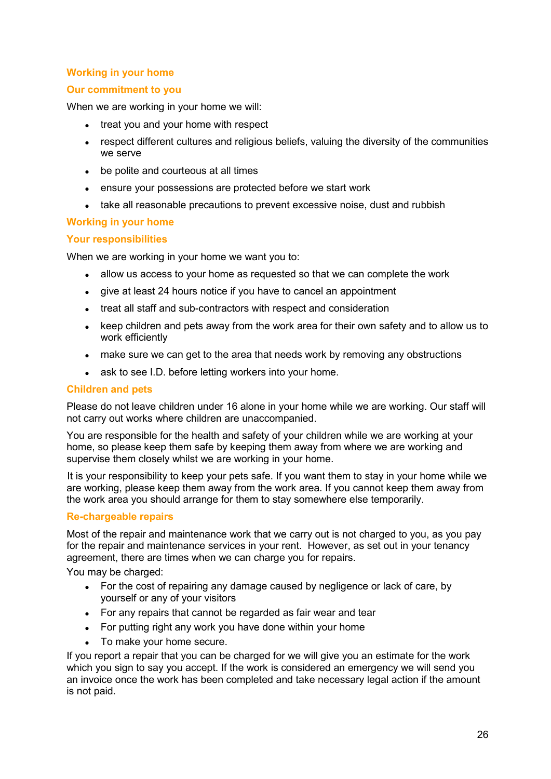## <span id="page-26-0"></span>**Working in your home**

## **Our commitment to you**

When we are working in your home we will:

- treat you and your home with respect
- respect different cultures and religious beliefs, valuing the diversity of the communities we serve
- be polite and courteous at all times
- ensure your possessions are protected before we start work
- take all reasonable precautions to prevent excessive noise, dust and rubbish

## **Working in your home**

## **Your responsibilities**

When we are working in your home we want you to:

- allow us access to your home as requested so that we can complete the work
- give at least 24 hours notice if you have to cancel an appointment
- treat all staff and sub-contractors with respect and consideration
- keep children and pets away from the work area for their own safety and to allow us to work efficiently
- make sure we can get to the area that needs work by removing any obstructions
- ask to see I.D. before letting workers into your home.

#### **Children and pets**

Please do not leave children under 16 alone in your home while we are working. Our staff will not carry out works where children are unaccompanied.

You are responsible for the health and safety of your children while we are working at your home, so please keep them safe by keeping them away from where we are working and supervise them closely whilst we are working in your home.

It is your responsibility to keep your pets safe. If you want them to stay in your home while we are working, please keep them away from the work area. If you cannot keep them away from the work area you should arrange for them to stay somewhere else temporarily.

## <span id="page-26-1"></span>**Re-chargeable repairs**

Most of the repair and maintenance work that we carry out is not charged to you, as you pay for the repair and maintenance services in your rent. However, as set out in your tenancy agreement, there are times when we can charge you for repairs.

You may be charged:

- For the cost of repairing any damage caused by negligence or lack of care, by yourself or any of your visitors
- For any repairs that cannot be regarded as fair wear and tear
- For putting right any work you have done within your home
- To make your home secure.

If you report a repair that you can be charged for we will give you an estimate for the work which you sign to say you accept. If the work is considered an emergency we will send you an invoice once the work has been completed and take necessary legal action if the amount is not paid.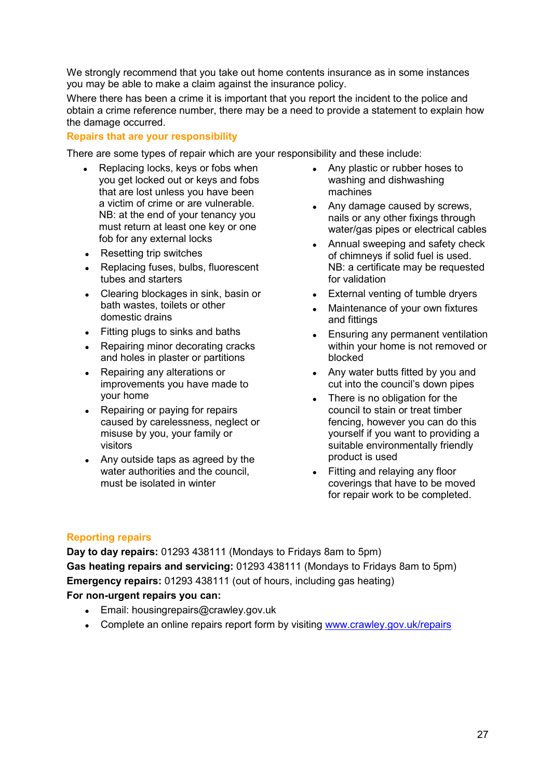We strongly recommend that you take out home contents insurance as in some instances you may be able to make a claim against the insurance policy.

Where there has been a crime it is important that you report the incident to the police and obtain a crime reference number, there may be a need to provide a statement to explain how the damage occurred.

## <span id="page-27-0"></span>**Repairs that are your responsibility**

There are some types of repair which are your responsibility and these include:

- Replacing locks, keys or fobs when you get locked out or keys and fobs that are lost unless you have been a victim of crime or are vulnerable. NB: at the end of your tenancy you must return at least one key or one fob for any external locks
- Resetting trip switches
- Replacing fuses, bulbs, fluorescent tubes and starters
- Clearing blockages in sink, basin or bath wastes, toilets or other domestic drains
- Fitting plugs to sinks and baths
- Repairing minor decorating cracks and holes in plaster or partitions
- Repairing any alterations or improvements you have made to your home
- Repairing or paying for repairs caused by carelessness, neglect or misuse by you, your family or visitors
- Any outside taps as agreed by the water authorities and the council, must be isolated in winter
- Any plastic or rubber hoses to washing and dishwashing machines
- Any damage caused by screws, nails or any other fixings through water/gas pipes or electrical cables
- Annual sweeping and safety check of chimneys if solid fuel is used. NB: a certificate may be requested for validation
- External venting of tumble dryers
- Maintenance of your own fixtures and fittings
- Ensuring any permanent ventilation within your home is not removed or blocked
- Any water butts fitted by you and cut into the council's down pipes
- There is no obligation for the council to stain or treat timber fencing, however you can do this yourself if you want to providing a suitable environmentally friendly product is used
- Fitting and relaying any floor coverings that have to be moved for repair work to be completed.

## <span id="page-27-1"></span>**Reporting repairs**

**Day to day repairs:** 01293 438111 (Mondays to Fridays 8am to 5pm) **Gas heating repairs and servicing:** 01293 438111 (Mondays to Fridays 8am to 5pm) **Emergency repairs:** 01293 438111 (out of hours, including gas heating) **For non-urgent repairs you can:** 

- Email: housingrepairs@crawley.gov.uk
- Complete an online repairs report form by visiting [www.crawley.gov.uk/repairs](http://www.crawley.gov.uk/repairs)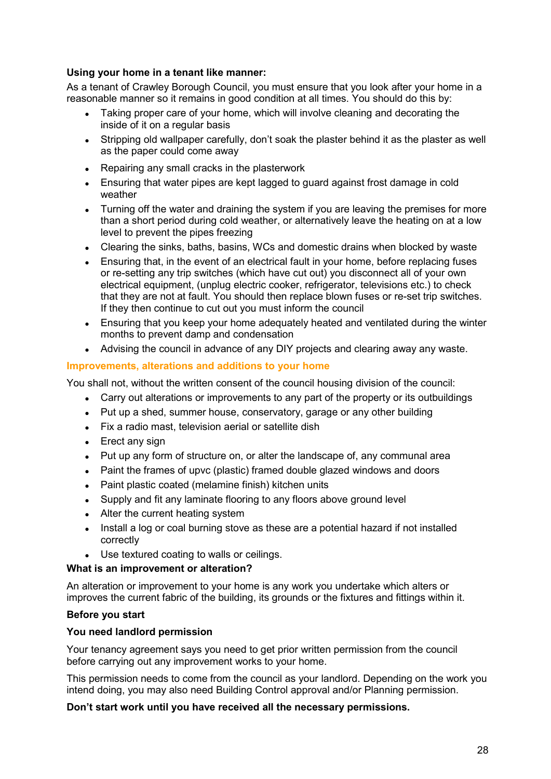## **Using your home in a tenant like manner:**

As a tenant of Crawley Borough Council, you must ensure that you look after your home in a reasonable manner so it remains in good condition at all times. You should do this by:

- Taking proper care of your home, which will involve cleaning and decorating the inside of it on a regular basis
- Stripping old wallpaper carefully, don't soak the plaster behind it as the plaster as well as the paper could come away
- Repairing any small cracks in the plasterwork
- Ensuring that water pipes are kept lagged to guard against frost damage in cold weather
- Turning off the water and draining the system if you are leaving the premises for more than a short period during cold weather, or alternatively leave the heating on at a low level to prevent the pipes freezing
- Clearing the sinks, baths, basins, WCs and domestic drains when blocked by waste
- Ensuring that, in the event of an electrical fault in your home, before replacing fuses or re-setting any trip switches (which have cut out) you disconnect all of your own electrical equipment, (unplug electric cooker, refrigerator, televisions etc.) to check that they are not at fault. You should then replace blown fuses or re-set trip switches. If they then continue to cut out you must inform the council
- Ensuring that you keep your home adequately heated and ventilated during the winter months to prevent damp and condensation
- Advising the council in advance of any DIY projects and clearing away any waste.

## <span id="page-28-0"></span>**Improvements, alterations and additions to your home**

You shall not, without the written consent of the council housing division of the council:

- Carry out alterations or improvements to any part of the property or its outbuildings
- Put up a shed, summer house, conservatory, garage or any other building
- Fix a radio mast, television aerial or satellite dish
- Erect any sign
- Put up any form of structure on, or alter the landscape of, any communal area
- Paint the frames of upvc (plastic) framed double glazed windows and doors
- Paint plastic coated (melamine finish) kitchen units
- Supply and fit any laminate flooring to any floors above ground level
- Alter the current heating system
- Install a log or coal burning stove as these are a potential hazard if not installed correctly
- Use textured coating to walls or ceilings.

## **What is an improvement or alteration?**

An alteration or improvement to your home is any work you undertake which alters or improves the current fabric of the building, its grounds or the fixtures and fittings within it.

## **Before you start**

## **You need landlord permission**

Your tenancy agreement says you need to get prior written permission from the council before carrying out any improvement works to your home.

This permission needs to come from the council as your landlord. Depending on the work you intend doing, you may also need Building Control approval and/or Planning permission.

## **Don't start work until you have received all the necessary permissions.**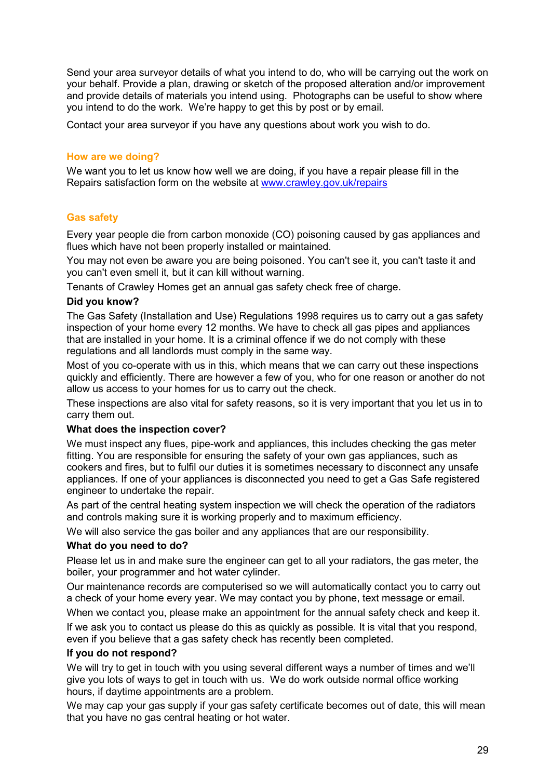Send your area surveyor details of what you intend to do, who will be carrying out the work on your behalf. Provide a plan, drawing or sketch of the proposed alteration and/or improvement and provide details of materials you intend using. Photographs can be useful to show where you intend to do the work. We're happy to get this by post or by email.

Contact your area surveyor if you have any questions about work you wish to do.

## **How are we doing?**

We want you to let us know how well we are doing, if you have a repair please fill in the Repairs satisfaction form on the website at [www.crawley.gov.uk/repairs](http://www.crawley.gov.uk/repairs)

## <span id="page-29-0"></span>**Gas safety**

Every year people die from carbon monoxide (CO) poisoning caused by gas appliances and flues which have not been properly installed or maintained.

You may not even be aware you are being poisoned. You can't see it, you can't taste it and you can't even smell it, but it can kill without warning.

Tenants of Crawley Homes get an annual gas safety check free of charge.

## **Did you know?**

The Gas Safety (Installation and Use) Regulations 1998 requires us to carry out a gas safety inspection of your home every 12 months. We have to check all gas pipes and appliances that are installed in your home. It is a criminal offence if we do not comply with these regulations and all landlords must comply in the same way.

Most of you co-operate with us in this, which means that we can carry out these inspections quickly and efficiently. There are however a few of you, who for one reason or another do not allow us access to your homes for us to carry out the check.

These inspections are also vital for safety reasons, so it is very important that you let us in to carry them out.

## **What does the inspection cover?**

We must inspect any flues, pipe-work and appliances, this includes checking the gas meter fitting. You are responsible for ensuring the safety of your own gas appliances, such as cookers and fires, but to fulfil our duties it is sometimes necessary to disconnect any unsafe appliances. If one of your appliances is disconnected you need to get a Gas Safe registered engineer to undertake the repair.

As part of the central heating system inspection we will check the operation of the radiators and controls making sure it is working properly and to maximum efficiency.

We will also service the gas boiler and any appliances that are our responsibility.

## **What do you need to do?**

Please let us in and make sure the engineer can get to all your radiators, the gas meter, the boiler, your programmer and hot water cylinder.

Our maintenance records are computerised so we will automatically contact you to carry out a check of your home every year. We may contact you by phone, text message or email.

When we contact you, please make an appointment for the annual safety check and keep it. If we ask you to contact us please do this as quickly as possible. It is vital that you respond,

even if you believe that a gas safety check has recently been completed.

## **If you do not respond?**

We will try to get in touch with you using several different ways a number of times and we'll give you lots of ways to get in touch with us. We do work outside normal office working hours, if daytime appointments are a problem.

We may cap your gas supply if your gas safety certificate becomes out of date, this will mean that you have no gas central heating or hot water.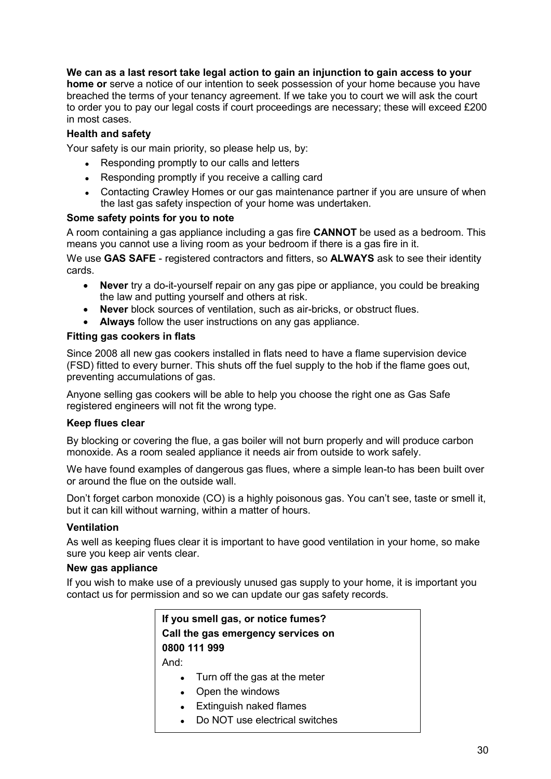## **We can as a last resort take legal action to gain an injunction to gain access to your**

**home or** serve a notice of our intention to seek possession of your home because you have breached the terms of your tenancy agreement. If we take you to court we will ask the court to order you to pay our legal costs if court proceedings are necessary; these will exceed £200 in most cases.

## **Health and safety**

Your safety is our main priority, so please help us, by:

- Responding promptly to our calls and letters
- Responding promptly if you receive a calling card
- Contacting Crawley Homes or our gas maintenance partner if you are unsure of when the last gas safety inspection of your home was undertaken.

#### **Some safety points for you to note**

A room containing a gas appliance including a gas fire **CANNOT** be used as a bedroom. This means you cannot use a living room as your bedroom if there is a gas fire in it.

We use **GAS SAFE** - registered contractors and fitters, so **ALWAYS** ask to see their identity cards.

- **Never** try a do-it-yourself repair on any gas pipe or appliance, you could be breaking the law and putting yourself and others at risk.
- **Never** block sources of ventilation, such as air-bricks, or obstruct flues.
- **Always** follow the user instructions on any gas appliance.

#### **Fitting gas cookers in flats**

Since 2008 all new gas cookers installed in flats need to have a flame supervision device (FSD) fitted to every burner. This shuts off the fuel supply to the hob if the flame goes out, preventing accumulations of gas.

Anyone selling gas cookers will be able to help you choose the right one as Gas Safe registered engineers will not fit the wrong type.

## **Keep flues clear**

By blocking or covering the flue, a gas boiler will not burn properly and will produce carbon monoxide. As a room sealed appliance it needs air from outside to work safely.

We have found examples of dangerous gas flues, where a simple lean-to has been built over or around the flue on the outside wall.

Don't forget carbon monoxide (CO) is a highly poisonous gas. You can't see, taste or smell it, but it can kill without warning, within a matter of hours.

#### **Ventilation**

As well as keeping flues clear it is important to have good ventilation in your home, so make sure you keep air vents clear.

#### **New gas appliance**

If you wish to make use of a previously unused gas supply to your home, it is important you contact us for permission and so we can update our gas safety records.

> **If you smell gas, or notice fumes? Call the gas emergency services on 0800 111 999** And:

- Turn off the gas at the meter
- Open the windows
- Extinguish naked flames
- Do NOT use electrical switches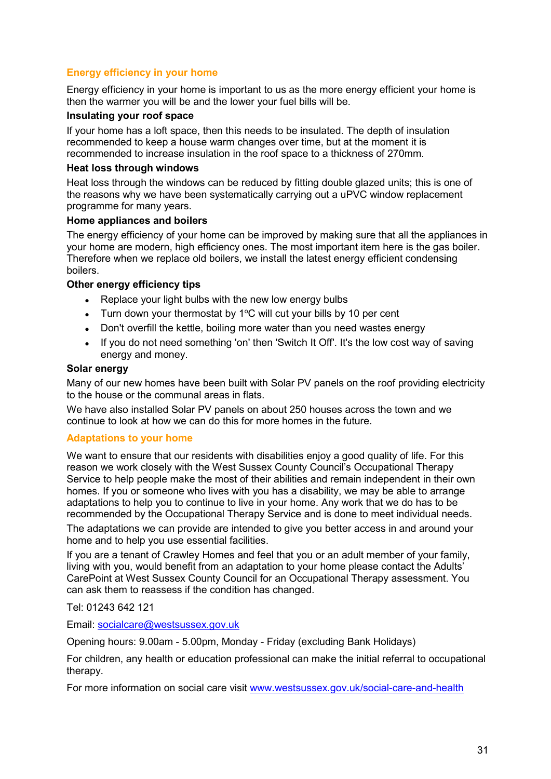## <span id="page-31-0"></span>**Energy efficiency in your home**

Energy efficiency in your home is important to us as the more energy efficient your home is then the warmer you will be and the lower your fuel bills will be.

#### **Insulating your roof space**

If your home has a loft space, then this needs to be insulated. The depth of insulation recommended to keep a house warm changes over time, but at the moment it is recommended to increase insulation in the roof space to a thickness of 270mm.

#### **Heat loss through windows**

Heat loss through the windows can be reduced by fitting double glazed units; this is one of the reasons why we have been systematically carrying out a uPVC window replacement programme for many years.

#### **Home appliances and boilers**

The energy efficiency of your home can be improved by making sure that all the appliances in your home are modern, high efficiency ones. The most important item here is the gas boiler. Therefore when we replace old boilers, we install the latest energy efficient condensing boilers.

## **Other energy efficiency tips**

- Replace your light bulbs with the new low energy bulbs
- Turn down your thermostat by  $1^{\circ}$ C will cut your bills by 10 per cent
- Don't overfill the kettle, boiling more water than you need wastes energy
- If you do not need something 'on' then 'Switch It Off'. It's the low cost way of saving energy and money.

#### **Solar energy**

Many of our new homes have been built with Solar PV panels on the roof providing electricity to the house or the communal areas in flats.

We have also installed Solar PV panels on about 250 houses across the town and we continue to look at how we can do this for more homes in the future.

## <span id="page-31-1"></span>**Adaptations to your home**

We want to ensure that our residents with disabilities enjoy a good quality of life. For this reason we work closely with the West Sussex County Council's Occupational Therapy Service to help people make the most of their abilities and remain independent in their own homes. If you or someone who lives with you has a disability, we may be able to arrange adaptations to help you to continue to live in your home. Any work that we do has to be recommended by the Occupational Therapy Service and is done to meet individual needs.

The adaptations we can provide are intended to give you better access in and around your home and to help you use essential facilities.

If you are a tenant of Crawley Homes and feel that you or an adult member of your family, living with you, would benefit from an adaptation to your home please contact the Adults' CarePoint at West Sussex County Council for an Occupational Therapy assessment. You can ask them to reassess if the condition has changed.

Tel: 01243 642 121

Email: [socialcare@westsussex.gov.uk](mailto:socialcare@westsussex.gov.uk)

Opening hours: 9.00am - 5.00pm, Monday - Friday (excluding Bank Holidays)

For children, any health or education professional can make the initial referral to occupational therapy.

For more information on social care visit [www.westsussex.gov.uk/social-care-and-health](http://www.westsussex.gov.uk/social-care-and-health)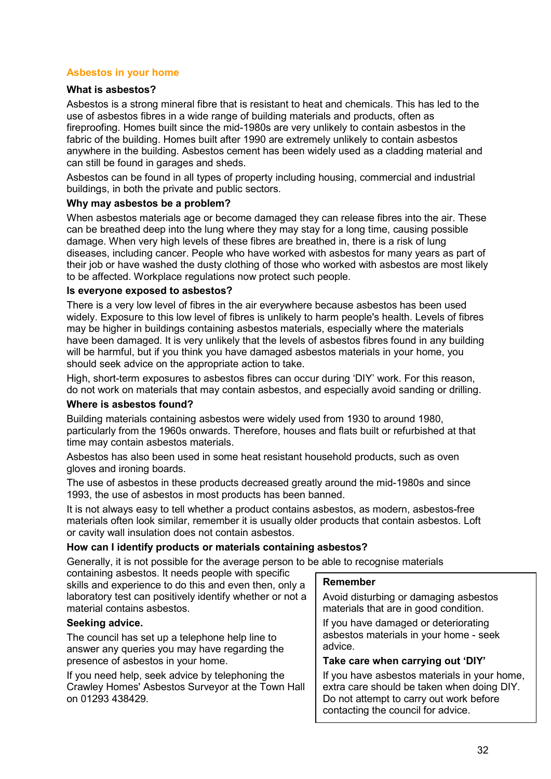## <span id="page-32-0"></span>**Asbestos in your home**

#### **What is asbestos?**

Asbestos is a strong mineral fibre that is resistant to heat and chemicals. This has led to the use of asbestos fibres in a wide range of building materials and products, often as fireproofing. Homes built since the mid-1980s are very unlikely to contain asbestos in the fabric of the building. Homes built after 1990 are extremely unlikely to contain asbestos anywhere in the building. Asbestos cement has been widely used as a cladding material and can still be found in garages and sheds.

Asbestos can be found in all types of property including housing, commercial and industrial buildings, in both the private and public sectors.

#### **Why may asbestos be a problem?**

When asbestos materials age or become damaged they can release fibres into the air. These can be breathed deep into the lung where they may stay for a long time, causing possible damage. When very high levels of these fibres are breathed in, there is a risk of lung diseases, including cancer. People who have worked with asbestos for many years as part of their job or have washed the dusty clothing of those who worked with asbestos are most likely to be affected. Workplace regulations now protect such people.

#### **Is everyone exposed to asbestos?**

There is a very low level of fibres in the air everywhere because asbestos has been used widely. Exposure to this low level of fibres is unlikely to harm people's health. Levels of fibres may be higher in buildings containing asbestos materials, especially where the materials have been damaged. It is very unlikely that the levels of asbestos fibres found in any building will be harmful, but if you think you have damaged asbestos materials in your home, you should seek advice on the appropriate action to take.

High, short-term exposures to asbestos fibres can occur during 'DIY' work. For this reason, do not work on materials that may contain asbestos, and especially avoid sanding or drilling.

## **Where is asbestos found?**

Building materials containing asbestos were widely used from 1930 to around 1980, particularly from the 1960s onwards. Therefore, houses and flats built or refurbished at that time may contain asbestos materials.

Asbestos has also been used in some heat resistant household products, such as oven gloves and ironing boards.

The use of asbestos in these products decreased greatly around the mid-1980s and since 1993, the use of asbestos in most products has been banned.

It is not always easy to tell whether a product contains asbestos, as modern, asbestos-free materials often look similar, remember it is usually older products that contain asbestos. Loft or cavity wall insulation does not contain asbestos.

## **How can I identify products or materials containing asbestos?**

Generally, it is not possible for the average person to be able to recognise materials

containing asbestos. It needs people with specific skills and experience to do this and even then, only a laboratory test can positively identify whether or not a material contains asbestos.

## **Seeking advice.**

The council has set up a telephone help line to answer any queries you may have regarding the presence of asbestos in your home.

If you need help, seek advice by telephoning the Crawley Homes' Asbestos Surveyor at the Town Hall on 01293 438429.

#### **Remember**

Avoid disturbing or damaging asbestos materials that are in good condition.

If you have damaged or deteriorating asbestos materials in your home - seek advice.

#### **Take care when carrying out 'DIY'**

If you have asbestos materials in your home, extra care should be taken when doing DIY. Do not attempt to carry out work before contacting the council for advice.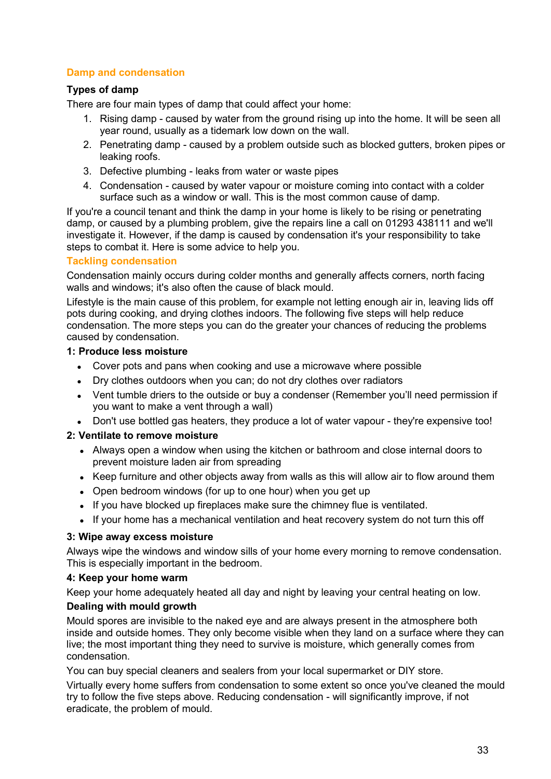## <span id="page-33-0"></span>**Damp and condensation**

## **Types of damp**

There are four main types of damp that could affect your home:

- 1. Rising damp caused by water from the ground rising up into the home. It will be seen all year round, usually as a tidemark low down on the wall.
- 2. Penetrating damp caused by a problem outside such as blocked gutters, broken pipes or leaking roofs.
- 3. Defective plumbing leaks from water or waste pipes
- 4. Condensation caused by water vapour or moisture coming into contact with a colder surface such as a window or wall. This is the most common cause of damp.

If you're a council tenant and think the damp in your home is likely to be rising or penetrating damp, or caused by a plumbing problem, give the repairs line a call on 01293 438111 and we'll investigate it. However, if the damp is caused by condensation it's your responsibility to take steps to combat it. Here is some advice to help you.

## **Tackling condensation**

Condensation mainly occurs during colder months and generally affects corners, north facing walls and windows; it's also often the cause of black mould.

Lifestyle is the main cause of this problem, for example not letting enough air in, leaving lids off pots during cooking, and drying clothes indoors. The following five steps will help reduce condensation. The more steps you can do the greater your chances of reducing the problems caused by condensation.

## **1: Produce less moisture**

- Cover pots and pans when cooking and use a microwave where possible
- Dry clothes outdoors when you can; do not dry clothes over radiators
- Vent tumble driers to the outside or buy a condenser (Remember you'll need permission if you want to make a vent through a wall)
- Don't use bottled gas heaters, they produce a lot of water vapour they're expensive too!

## **2: Ventilate to remove moisture**

- Always open a window when using the kitchen or bathroom and close internal doors to prevent moisture laden air from spreading
- Keep furniture and other objects away from walls as this will allow air to flow around them
- Open bedroom windows (for up to one hour) when you get up
- If you have blocked up fireplaces make sure the chimney flue is ventilated.
- If your home has a mechanical ventilation and heat recovery system do not turn this off

## **3: Wipe away excess moisture**

Always wipe the windows and window sills of your home every morning to remove condensation. This is especially important in the bedroom.

## **4: Keep your home warm**

Keep your home adequately heated all day and night by leaving your central heating on low.

## **Dealing with mould growth**

Mould spores are invisible to the naked eye and are always present in the atmosphere both inside and outside homes. They only become visible when they land on a surface where they can live; the most important thing they need to survive is moisture, which generally comes from condensation.

You can buy special cleaners and sealers from your local supermarket or DIY store.

<span id="page-33-1"></span>Virtually every home suffers from condensation to some extent so once you've cleaned the mould try to follow the five steps above. Reducing condensation - will significantly improve, if not eradicate, the problem of mould.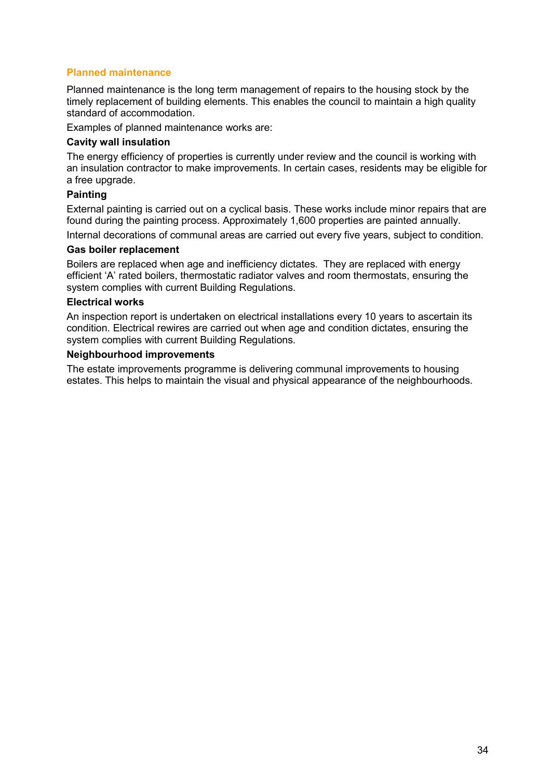## **Planned maintenance**

Planned maintenance is the long term management of repairs to the housing stock by the timely replacement of building elements. This enables the council to maintain a high quality standard of accommodation.

Examples of planned maintenance works are:

#### **Cavity wall insulation**

The energy efficiency of properties is currently under review and the council is working with an insulation contractor to make improvements. In certain cases, residents may be eligible for a free upgrade.

#### **Painting**

External painting is carried out on a cyclical basis. These works include minor repairs that are found during the painting process. Approximately 1,600 properties are painted annually.

Internal decorations of communal areas are carried out every five years, subject to condition.

#### **Gas boiler replacement**

Boilers are replaced when age and inefficiency dictates. They are replaced with energy efficient 'A' rated boilers, thermostatic radiator valves and room thermostats, ensuring the system complies with current Building Regulations.

#### **Electrical works**

An inspection report is undertaken on electrical installations every 10 years to ascertain its condition. Electrical rewires are carried out when age and condition dictates, ensuring the system complies with current Building Regulations.

#### **Neighbourhood improvements**

<span id="page-34-0"></span>The estate improvements programme is delivering communal improvements to housing estates. This helps to maintain the visual and physical appearance of the neighbourhoods.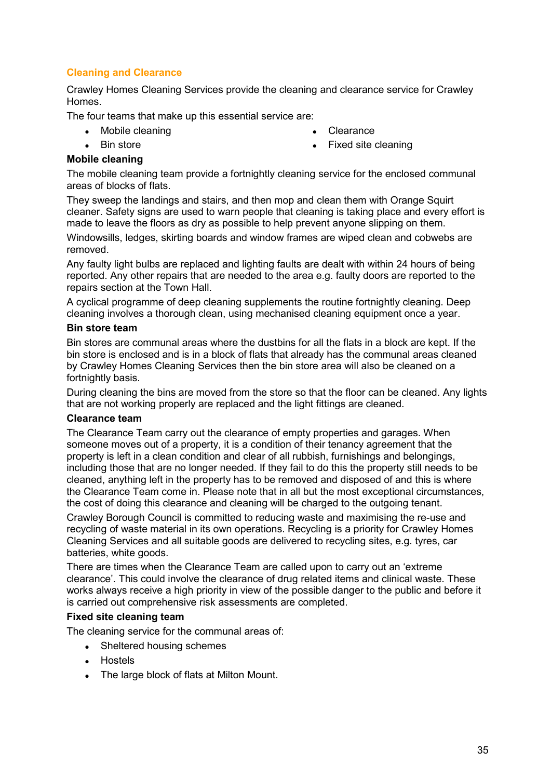## **Cleaning and Clearance**

Crawley Homes Cleaning Services provide the cleaning and clearance service for Crawley Homes.

The four teams that make up this essential service are:

- Mobile cleaning
- Bin store

Clearance

Fixed site cleaning

## **Mobile cleaning**

The mobile cleaning team provide a fortnightly cleaning service for the enclosed communal areas of blocks of flats.

They sweep the landings and stairs, and then mop and clean them with Orange Squirt cleaner. Safety signs are used to warn people that cleaning is taking place and every effort is made to leave the floors as dry as possible to help prevent anyone slipping on them.

Windowsills, ledges, skirting boards and window frames are wiped clean and cobwebs are removed.

Any faulty light bulbs are replaced and lighting faults are dealt with within 24 hours of being reported. Any other repairs that are needed to the area e.g. faulty doors are reported to the repairs section at the Town Hall.

A cyclical programme of deep cleaning supplements the routine fortnightly cleaning. Deep cleaning involves a thorough clean, using mechanised cleaning equipment once a year.

## **Bin store team**

Bin stores are communal areas where the dustbins for all the flats in a block are kept. If the bin store is enclosed and is in a block of flats that already has the communal areas cleaned by Crawley Homes Cleaning Services then the bin store area will also be cleaned on a fortnightly basis.

During cleaning the bins are moved from the store so that the floor can be cleaned. Any lights that are not working properly are replaced and the light fittings are cleaned.

## **Clearance team**

The Clearance Team carry out the clearance of empty properties and garages. When someone moves out of a property, it is a condition of their tenancy agreement that the property is left in a clean condition and clear of all rubbish, furnishings and belongings, including those that are no longer needed. If they fail to do this the property still needs to be cleaned, anything left in the property has to be removed and disposed of and this is where the Clearance Team come in. Please note that in all but the most exceptional circumstances, the cost of doing this clearance and cleaning will be charged to the outgoing tenant.

Crawley Borough Council is committed to reducing waste and maximising the re-use and recycling of waste material in its own operations. Recycling is a priority for Crawley Homes Cleaning Services and all suitable goods are delivered to recycling sites, e.g. tyres, car batteries, white goods.

There are times when the Clearance Team are called upon to carry out an 'extreme clearance'. This could involve the clearance of drug related items and clinical waste. These works always receive a high priority in view of the possible danger to the public and before it is carried out comprehensive risk assessments are completed.

## **Fixed site cleaning team**

The cleaning service for the communal areas of:

- Sheltered housing schemes
- Hostels
- The large block of flats at Milton Mount.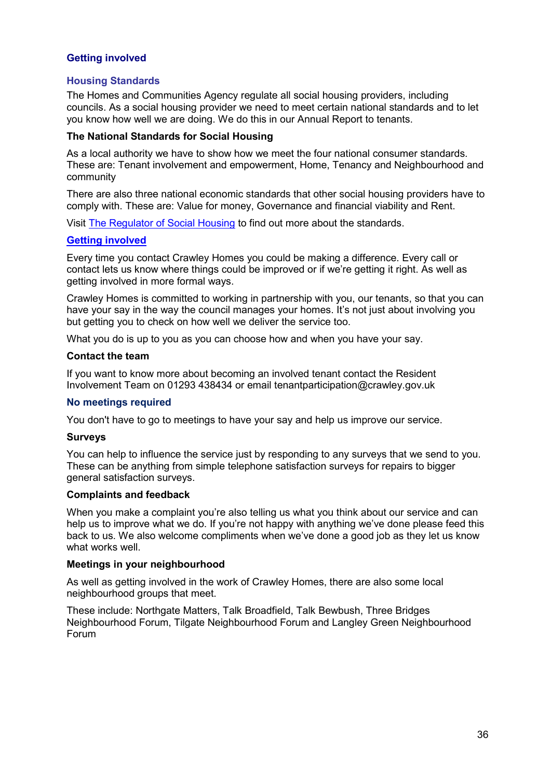## <span id="page-36-0"></span>**Getting involved**

## **Housing Standards**

The Homes and Communities Agency regulate all social housing providers, including councils. As a social housing provider we need to meet certain national standards and to let you know how well we are doing. We do this in our Annual Report to tenants.

#### **The National Standards for Social Housing**

As a local authority we have to show how we meet the four national consumer standards. These are: Tenant involvement and empowerment, Home, Tenancy and Neighbourhood and community

There are also three national economic standards that other social housing providers have to comply with. These are: Value for money, Governance and financial viability and Rent.

Visit [The Regulator of Social Housing](https://www.gov.uk/government/organisations/regulator-of-social-housing) to find out more about the standards.

#### <span id="page-36-1"></span>**[Getting involved](https://crawley.gov.uk/housing/council-tenants/resident-involvement)**

Every time you contact Crawley Homes you could be making a difference. Every call or contact lets us know where things could be improved or if we're getting it right. As well as getting involved in more formal ways.

Crawley Homes is committed to working in partnership with you, our tenants, so that you can have your say in the way the council manages your homes. It's not just about involving you but getting you to check on how well we deliver the service too.

What you do is up to you as you can choose how and when you have your say.

#### **Contact the team**

If you want to know more about becoming an involved tenant contact the Resident Involvement Team on 01293 438434 or email tenantparticipation@crawley.gov.uk

#### **No meetings required**

You don't have to go to meetings to have your say and help us improve our service.

#### **Surveys**

You can help to influence the service just by responding to any surveys that we send to you. These can be anything from simple telephone satisfaction surveys for repairs to bigger general satisfaction surveys.

#### **Complaints and feedback**

When you make a complaint you're also telling us what you think about our service and can help us to improve what we do. If you're not happy with anything we've done please feed this back to us. We also welcome compliments when we've done a good job as they let us know what works well.

#### **Meetings in your neighbourhood**

As well as getting involved in the work of Crawley Homes, there are also some local neighbourhood groups that meet.

These include: Northgate Matters, Talk Broadfield, Talk Bewbush, Three Bridges Neighbourhood Forum, Tilgate Neighbourhood Forum and Langley Green Neighbourhood Forum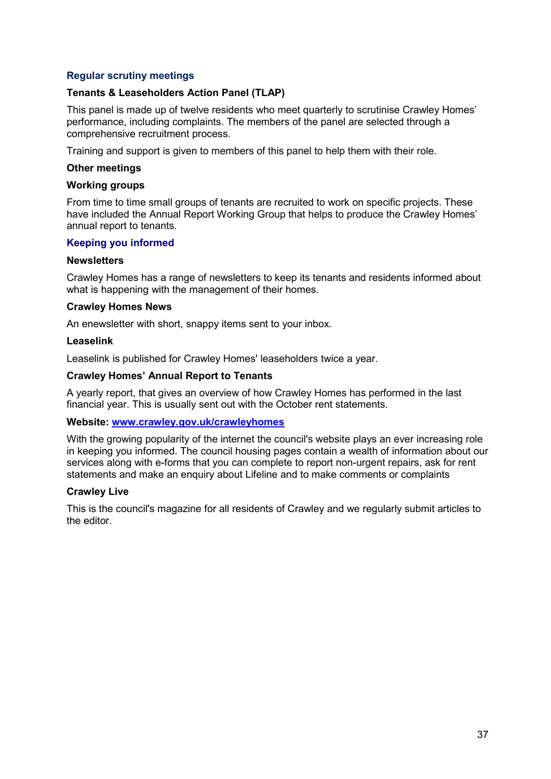## **Regular scrutiny meetings**

#### **Tenants & Leaseholders Action Panel (TLAP)**

This panel is made up of twelve residents who meet quarterly to scrutinise Crawley Homes' performance, including complaints. The members of the panel are selected through a comprehensive recruitment process.

Training and support is given to members of this panel to help them with their role.

#### **Other meetings**

#### **Working groups**

From time to time small groups of tenants are recruited to work on specific projects. These have included the Annual Report Working Group that helps to produce the Crawley Homes' annual report to tenants.

#### <span id="page-37-0"></span>**Keeping you informed**

#### **Newsletters**

Crawley Homes has a range of newsletters to keep its tenants and residents informed about what is happening with the management of their homes.

#### **Crawley Homes News**

An enewsletter with short, snappy items sent to your inbox.

#### **Leaselink**

Leaselink is published for Crawley Homes' leaseholders twice a year.

#### **Crawley Homes' Annual Report to Tenants**

A yearly report, that gives an overview of how Crawley Homes has performed in the last financial year. This is usually sent out with the October rent statements.

#### **Website: [www.crawley.gov.uk/crawleyhomes](http://www.crawley.gov.uk/crawleyhomes)**

With the growing popularity of the internet the council's website plays an ever increasing role in keeping you informed. The council housing pages contain a wealth of information about our services along with e-forms that you can complete to report non-urgent repairs, ask for rent statements and make an enquiry about Lifeline and to make comments or complaints

#### **Crawley Live**

This is the council's magazine for all residents of Crawley and we regularly submit articles to the editor.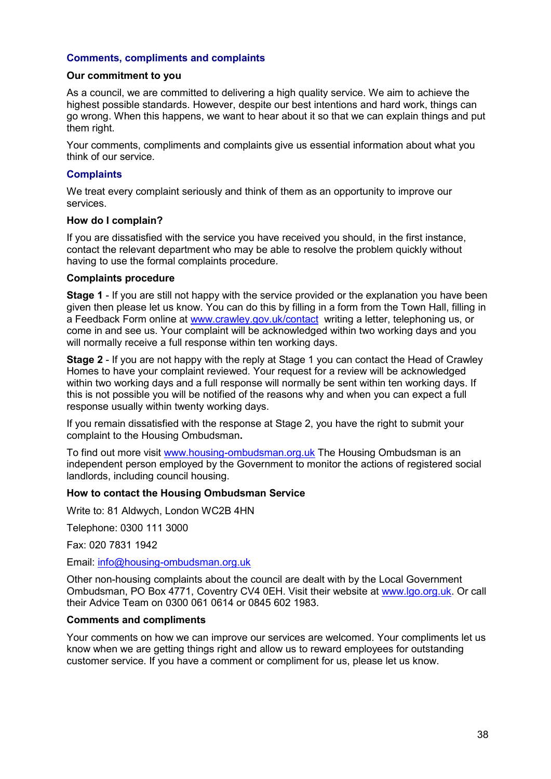## <span id="page-38-0"></span>**Comments, compliments and complaints**

#### **Our commitment to you**

As a council, we are committed to delivering a high quality service. We aim to achieve the highest possible standards. However, despite our best intentions and hard work, things can go wrong. When this happens, we want to hear about it so that we can explain things and put them right.

Your comments, compliments and complaints give us essential information about what you think of our service.

#### **Complaints**

We treat every complaint seriously and think of them as an opportunity to improve our services.

#### **How do I complain?**

If you are dissatisfied with the service you have received you should, in the first instance, contact the relevant department who may be able to resolve the problem quickly without having to use the formal complaints procedure.

#### **Complaints procedure**

**Stage 1** - If you are still not happy with the service provided or the explanation you have been given then please let us know. You can do this by filling in a form from the Town Hall, filling in a Feedback Form online at [www.crawley.gov.uk/contact](http://www.crawley.gov.uk/contact) writing a letter, telephoning us, or come in and see us. Your complaint will be acknowledged within two working days and you will normally receive a full response within ten working days.

**Stage 2** - If you are not happy with the reply at Stage 1 you can contact the Head of Crawley Homes to have your complaint reviewed. Your request for a review will be acknowledged within two working days and a full response will normally be sent within ten working days. If this is not possible you will be notified of the reasons why and when you can expect a full response usually within twenty working days.

If you remain dissatisfied with the response at Stage 2, you have the right to submit your complaint to the Housing Ombudsman**.** 

To find out more visit [www.housing-ombudsman.org.uk](http://www.housing-ombudsman.org.uk/) The Housing Ombudsman is an independent person employed by the Government to monitor the actions of registered social landlords, including council housing.

#### **How to contact the Housing Ombudsman Service**

Write to: 81 Aldwych, London WC2B 4HN

Telephone: 0300 111 3000

Fax: 020 7831 1942

Email: [info@housing-ombudsman.org.uk](mailto:info@housing-ombudsman.org.uk)

Other non-housing complaints about the council are dealt with by the Local Government Ombudsman, PO Box 4771, Coventry CV4 0EH. Visit their website at [www.lgo.org.uk.](http://www.lgo.org.uk/) Or call their Advice Team on 0300 061 0614 or 0845 602 1983.

#### **Comments and compliments**

Your comments on how we can improve our services are welcomed. Your compliments let us know when we are getting things right and allow us to reward employees for outstanding customer service. If you have a comment or compliment for us, please let us know.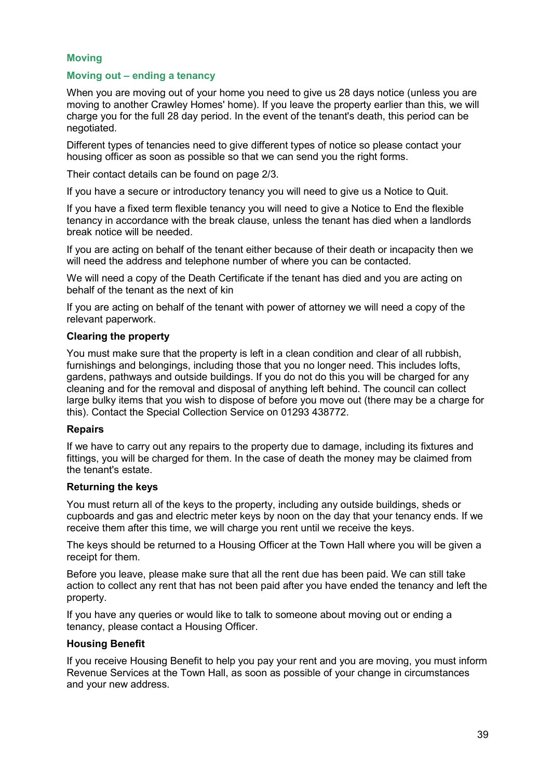## <span id="page-39-0"></span>**Moving**

## <span id="page-39-1"></span>**Moving out – ending a tenancy**

When you are moving out of your home you need to give us 28 days notice (unless you are moving to another Crawley Homes' home). If you leave the property earlier than this, we will charge you for the full 28 day period. In the event of the tenant's death, this period can be negotiated.

Different types of tenancies need to give different types of notice so please contact your housing officer as soon as possible so that we can send you the right forms.

Their contact details can be found on page 2/3.

If you have a secure or introductory tenancy you will need to give us a Notice to Quit.

If you have a fixed term flexible tenancy you will need to give a Notice to End the flexible tenancy in accordance with the break clause, unless the tenant has died when a landlords break notice will be needed.

If you are acting on behalf of the tenant either because of their death or incapacity then we will need the address and telephone number of where you can be contacted.

We will need a copy of the Death Certificate if the tenant has died and you are acting on behalf of the tenant as the next of kin

If you are acting on behalf of the tenant with power of attorney we will need a copy of the relevant paperwork.

#### **Clearing the property**

You must make sure that the property is left in a clean condition and clear of all rubbish, furnishings and belongings, including those that you no longer need. This includes lofts, gardens, pathways and outside buildings. If you do not do this you will be charged for any cleaning and for the removal and disposal of anything left behind. The council can collect large bulky items that you wish to dispose of before you move out (there may be a charge for this). Contact the Special Collection Service on 01293 438772.

## **Repairs**

If we have to carry out any repairs to the property due to damage, including its fixtures and fittings, you will be charged for them. In the case of death the money may be claimed from the tenant's estate.

#### **Returning the keys**

You must return all of the keys to the property, including any outside buildings, sheds or cupboards and gas and electric meter keys by noon on the day that your tenancy ends. If we receive them after this time, we will charge you rent until we receive the keys.

The keys should be returned to a Housing Officer at the Town Hall where you will be given a receipt for them.

Before you leave, please make sure that all the rent due has been paid. We can still take action to collect any rent that has not been paid after you have ended the tenancy and left the property.

If you have any queries or would like to talk to someone about moving out or ending a tenancy, please contact a Housing Officer.

#### **Housing Benefit**

If you receive Housing Benefit to help you pay your rent and you are moving, you must inform Revenue Services at the Town Hall, as soon as possible of your change in circumstances and your new address.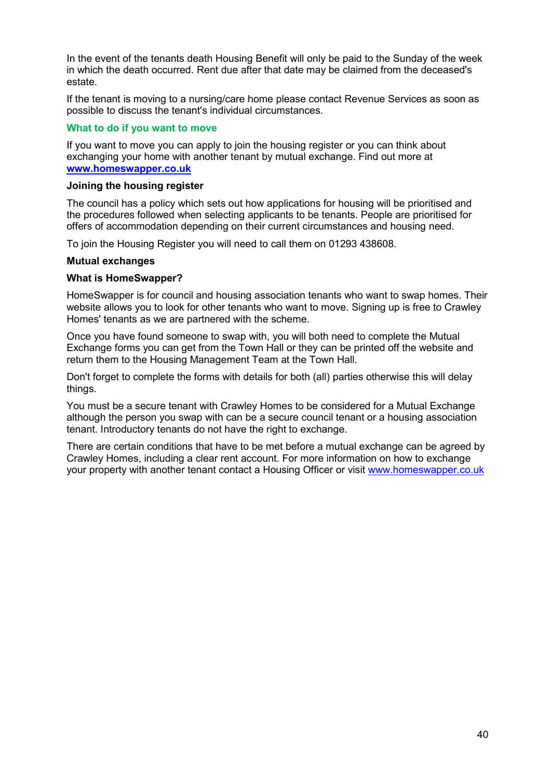In the event of the tenants death Housing Benefit will only be paid to the Sunday of the week in which the death occurred. Rent due after that date may be claimed from the deceased's estate.

If the tenant is moving to a nursing/care home please contact Revenue Services as soon as possible to discuss the tenant's individual circumstances.

#### <span id="page-40-0"></span>**What to do if you want to move**

If you want to move you can apply to join the housing register or you can think about exchanging your home with another tenant by mutual exchange. Find out more at **[www.homeswapper.co.uk](http://www.homeswapper.co.uk/)**

#### **Joining the housing register**

The council has a policy which sets out how applications for housing will be prioritised and the procedures followed when selecting applicants to be tenants. People are prioritised for offers of accommodation depending on their current circumstances and housing need.

To join the Housing Register you will need to call them on 01293 438608.

#### **Mutual exchanges**

#### **What is HomeSwapper?**

HomeSwapper is for council and housing association tenants who want to swap homes. Their website allows you to look for other tenants who want to move. Signing up is free to Crawley Homes' tenants as we are partnered with the scheme.

Once you have found someone to swap with, you will both need to complete the Mutual Exchange forms you can get from the Town Hall or they can be printed off the website and return them to the Housing Management Team at the Town Hall.

Don't forget to complete the forms with details for both (all) parties otherwise this will delay things.

You must be a secure tenant with Crawley Homes to be considered for a Mutual Exchange although the person you swap with can be a secure council tenant or a housing association tenant. Introductory tenants do not have the right to exchange.

There are certain conditions that have to be met before a mutual exchange can be agreed by Crawley Homes, including a clear rent account. For more information on how to exchange your property with another tenant contact a Housing Officer or visit [www.homeswapper.co.uk](http://www.homeswapper.co.uk/)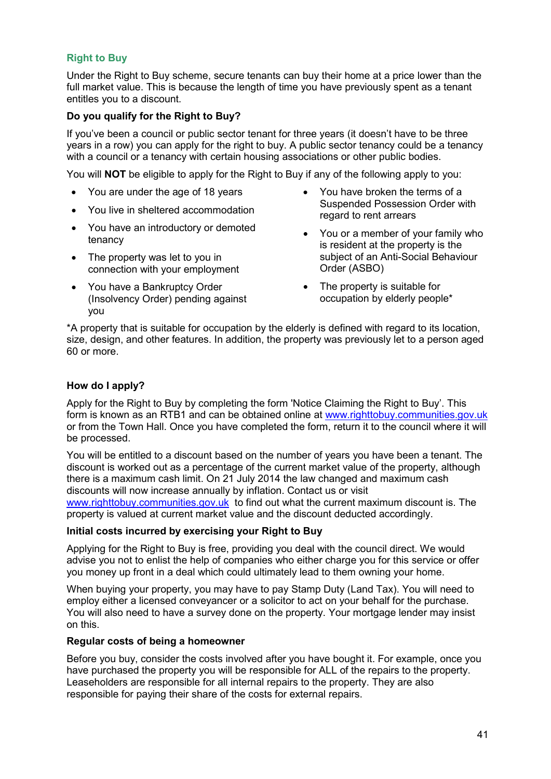## <span id="page-41-0"></span>**Right to Buy**

Under the Right to Buy scheme, secure tenants can buy their home at a price lower than the full market value. This is because the length of time you have previously spent as a tenant entitles you to a discount.

## **Do you qualify for the Right to Buy?**

If you've been a council or public sector tenant for three years (it doesn't have to be three years in a row) you can apply for the right to buy. A public sector tenancy could be a tenancy with a council or a tenancy with certain housing associations or other public bodies.

You will **NOT** be eligible to apply for the Right to Buy if any of the following apply to you:

- You are under the age of 18 years
- You live in sheltered accommodation
- You have an introductory or demoted tenancy
- The property was let to you in connection with your employment
- You have a Bankruptcy Order (Insolvency Order) pending against you
- You have broken the terms of a Suspended Possession Order with regard to rent arrears
- You or a member of your family who is resident at the property is the subject of an Anti-Social Behaviour Order (ASBO)
- The property is suitable for occupation by elderly people\*

\*A property that is suitable for occupation by the elderly is defined with regard to its location, size, design, and other features. In addition, the property was previously let to a person aged 60 or more.

## **How do I apply?**

Apply for the Right to Buy by completing the form 'Notice Claiming the Right to Buy'. This form is known as an RTB1 and can be obtained online at [www.righttobuy.communities.gov.uk](http://www.righttobuy.communities.gov.uk/) or from the Town Hall. Once you have completed the form, return it to the council where it will be processed.

You will be entitled to a discount based on the number of years you have been a tenant. The discount is worked out as a percentage of the current market value of the property, although there is a maximum cash limit. On 21 July 2014 the law changed and maximum cash discounts will now increase annually by inflation. Contact us or visit [www.righttobuy.communities.gov.uk](http://www.righttobuy.communities.gov.uk/) to find out what the current maximum discount is. The property is valued at current market value and the discount deducted accordingly.

## **Initial costs incurred by exercising your Right to Buy**

Applying for the Right to Buy is free, providing you deal with the council direct. We would advise you not to enlist the help of companies who either charge you for this service or offer you money up front in a deal which could ultimately lead to them owning your home.

When buying your property, you may have to pay Stamp Duty (Land Tax). You will need to employ either a licensed conveyancer or a solicitor to act on your behalf for the purchase. You will also need to have a survey done on the property. Your mortgage lender may insist on this.

## **Regular costs of being a homeowner**

Before you buy, consider the costs involved after you have bought it. For example, once you have purchased the property you will be responsible for ALL of the repairs to the property. Leaseholders are responsible for all internal repairs to the property. They are also responsible for paying their share of the costs for external repairs.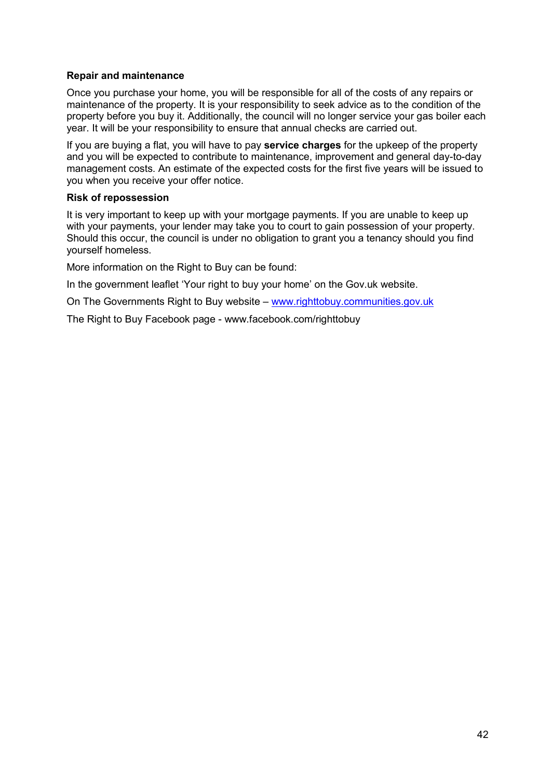## **Repair and maintenance**

Once you purchase your home, you will be responsible for all of the costs of any repairs or maintenance of the property. It is your responsibility to seek advice as to the condition of the property before you buy it. Additionally, the council will no longer service your gas boiler each year. It will be your responsibility to ensure that annual checks are carried out.

If you are buying a flat, you will have to pay **service charges** for the upkeep of the property and you will be expected to contribute to maintenance, improvement and general day-to-day management costs. An estimate of the expected costs for the first five years will be issued to you when you receive your offer notice.

## **Risk of repossession**

It is very important to keep up with your mortgage payments. If you are unable to keep up with your payments, your lender may take you to court to gain possession of your property. Should this occur, the council is under no obligation to grant you a tenancy should you find yourself homeless.

More information on the Right to Buy can be found:

In the government leaflet 'Your right to buy your home' on the Gov.uk website.

On The Governments Right to Buy website – [www.righttobuy.communities.gov.uk](http://www.righttobuy.communities.gov.uk/)

The Right to Buy Facebook page - www.facebook.com/righttobuy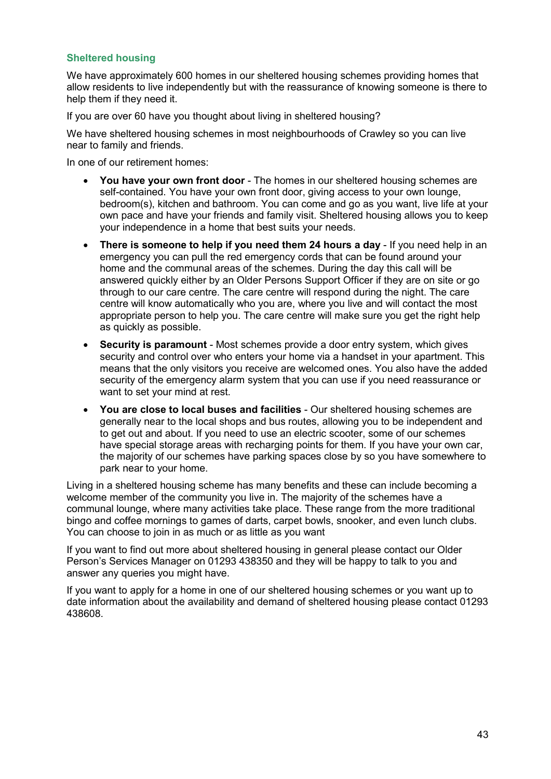## <span id="page-43-0"></span>**Sheltered housing**

We have approximately 600 homes in our sheltered housing schemes providing homes that allow residents to live independently but with the reassurance of knowing someone is there to help them if they need it.

If you are over 60 have you thought about living in sheltered housing?

We have sheltered housing schemes in most neighbourhoods of Crawley so you can live near to family and friends.

In one of our retirement homes:

- **You have your own front door**  The homes in our sheltered housing schemes are self-contained. You have your own front door, giving access to your own lounge, bedroom(s), kitchen and bathroom. You can come and go as you want, live life at your own pace and have your friends and family visit. Sheltered housing allows you to keep your independence in a home that best suits your needs.
- There is someone to help if you need them 24 hours a day If you need help in an emergency you can pull the red emergency cords that can be found around your home and the communal areas of the schemes. During the day this call will be answered quickly either by an Older Persons Support Officer if they are on site or go through to our care centre. The care centre will respond during the night. The care centre will know automatically who you are, where you live and will contact the most appropriate person to help you. The care centre will make sure you get the right help as quickly as possible.
- **Security is paramount**  Most schemes provide a door entry system, which gives security and control over who enters your home via a handset in your apartment. This means that the only visitors you receive are welcomed ones. You also have the added security of the emergency alarm system that you can use if you need reassurance or want to set your mind at rest.
- **You are close to local buses and facilities**  Our sheltered housing schemes are generally near to the local shops and bus routes, allowing you to be independent and to get out and about. If you need to use an electric scooter, some of our schemes have special storage areas with recharging points for them. If you have your own car, the majority of our schemes have parking spaces close by so you have somewhere to park near to your home.

Living in a sheltered housing scheme has many benefits and these can include becoming a welcome member of the community you live in. The majority of the schemes have a communal lounge, where many activities take place. These range from the more traditional bingo and coffee mornings to games of darts, carpet bowls, snooker, and even lunch clubs. You can choose to join in as much or as little as you want

If you want to find out more about sheltered housing in general please contact our Older Person's Services Manager on 01293 438350 and they will be happy to talk to you and answer any queries you might have.

If you want to apply for a home in one of our sheltered housing schemes or you want up to date information about the availability and demand of sheltered housing please contact 01293 438608.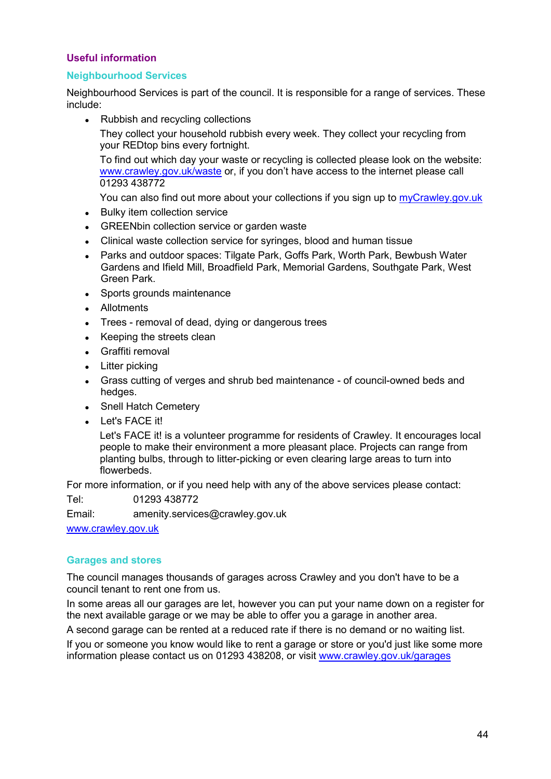## <span id="page-44-0"></span>**Useful information**

## <span id="page-44-1"></span>**Neighbourhood Services**

Neighbourhood Services is part of the council. It is responsible for a range of services. These include:

• Rubbish and recycling collections

They collect your household rubbish every week. They collect your recycling from your REDtop bins every fortnight.

To find out which day your waste or recycling is collected please look on the website: [www.crawley.gov.uk/waste](http://www.crawley.gov.uk/waste) or, if you don't have access to the internet please call 01293 438772

You can also find out more about your collections if you sign up to [myCrawley.gov.uk](https://my.crawley.gov.uk/)

- Bulky item collection service
- GREENbin collection service or garden waste
- Clinical waste collection service for syringes, blood and human tissue
- Parks and outdoor spaces: Tilgate Park, Goffs Park, Worth Park, Bewbush Water Gardens and Ifield Mill, Broadfield Park, Memorial Gardens, Southgate Park, West Green Park.
- Sports grounds maintenance
- Allotments
- Trees removal of dead, dying or dangerous trees
- Keeping the streets clean
- Graffiti removal
- Litter picking
- Grass cutting of verges and shrub bed maintenance of council-owned beds and hedges.
- Snell Hatch Cemetery
- Let's FACE it!

Let's FACE it! is a volunteer programme for residents of Crawley. It encourages local people to make their environment a more pleasant place. Projects can range from planting bulbs, through to litter-picking or even clearing large areas to turn into flowerbeds.

For more information, or if you need help with any of the above services please contact:

Tel: 01293 438772

Email: amenity.services@crawley.gov.uk

[www.crawley.gov.uk](http://www.crawley.gov.uk/)

## <span id="page-44-2"></span>**Garages and stores**

The council manages thousands of garages across Crawley and you don't have to be a council tenant to rent one from us.

In some areas all our garages are let, however you can put your name down on a register for the next available garage or we may be able to offer you a garage in another area.

A second garage can be rented at a reduced rate if there is no demand or no waiting list.

If you or someone you know would like to rent a garage or store or you'd just like some more information please contact us on 01293 438208, or visit [www.crawley.gov.uk/garages](http://www.crawley.gov.uk/garages)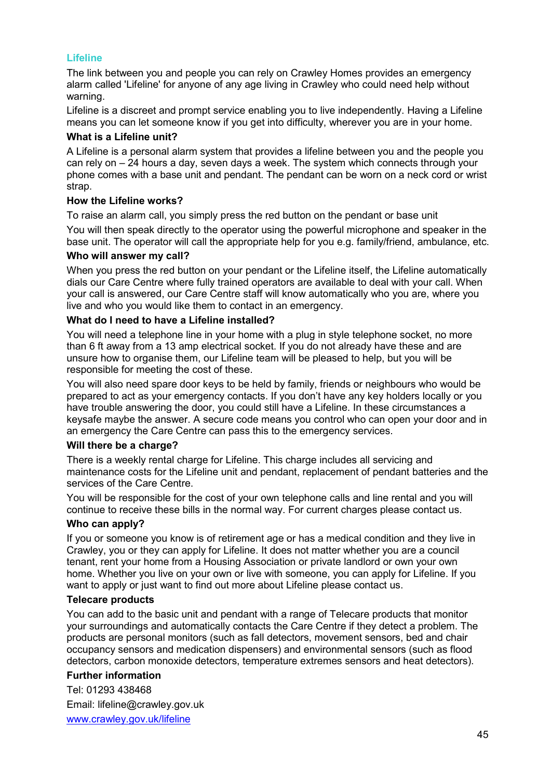## **Lifeline**

The link between you and people you can rely on Crawley Homes provides an emergency alarm called 'Lifeline' for anyone of any age living in Crawley who could need help without warning.

Lifeline is a discreet and prompt service enabling you to live independently. Having a Lifeline means you can let someone know if you get into difficulty, wherever you are in your home.

#### **What is a Lifeline unit?**

A Lifeline is a personal alarm system that provides a lifeline between you and the people you can rely on – 24 hours a day, seven days a week. The system which connects through your phone comes with a base unit and pendant. The pendant can be worn on a neck cord or wrist strap.

## **How the Lifeline works?**

To raise an alarm call, you simply press the red button on the pendant or base unit

You will then speak directly to the operator using the powerful microphone and speaker in the base unit. The operator will call the appropriate help for you e.g. family/friend, ambulance, etc.

## **Who will answer my call?**

When you press the red button on your pendant or the Lifeline itself, the Lifeline automatically dials our Care Centre where fully trained operators are available to deal with your call. When your call is answered, our Care Centre staff will know automatically who you are, where you live and who you would like them to contact in an emergency.

## **What do I need to have a Lifeline installed?**

You will need a telephone line in your home with a plug in style telephone socket, no more than 6 ft away from a 13 amp electrical socket. If you do not already have these and are unsure how to organise them, our Lifeline team will be pleased to help, but you will be responsible for meeting the cost of these.

You will also need spare door keys to be held by family, friends or neighbours who would be prepared to act as your emergency contacts. If you don't have any key holders locally or you have trouble answering the door, you could still have a Lifeline. In these circumstances a keysafe maybe the answer. A secure code means you control who can open your door and in an emergency the Care Centre can pass this to the emergency services.

## **Will there be a charge?**

There is a weekly rental charge for Lifeline. This charge includes all servicing and maintenance costs for the Lifeline unit and pendant, replacement of pendant batteries and the services of the Care Centre.

You will be responsible for the cost of your own telephone calls and line rental and you will continue to receive these bills in the normal way. For current charges please contact us.

## **Who can apply?**

If you or someone you know is of retirement age or has a medical condition and they live in Crawley, you or they can apply for Lifeline. It does not matter whether you are a council tenant, rent your home from a Housing Association or private landlord or own your own home. Whether you live on your own or live with someone, you can apply for Lifeline. If you want to apply or just want to find out more about Lifeline please contact us.

## **Telecare products**

You can add to the basic unit and pendant with a range of Telecare products that monitor your surroundings and automatically contacts the Care Centre if they detect a problem. The products are personal monitors (such as fall detectors, movement sensors, bed and chair occupancy sensors and medication dispensers) and environmental sensors (such as flood detectors, carbon monoxide detectors, temperature extremes sensors and heat detectors).

## **Further information**

Tel: 01293 438468 Email: lifeline@crawley.gov.uk [www.crawley.gov.uk/lifeline](http://www.crawley.gov.uk/lifeline)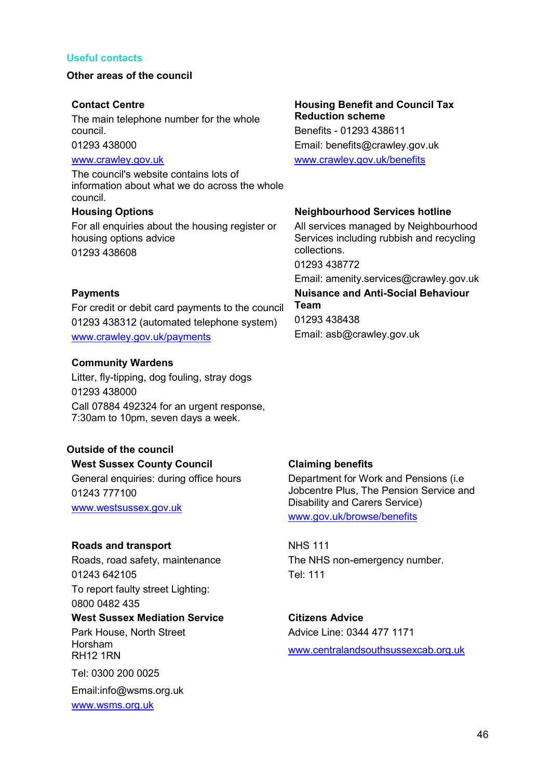#### <span id="page-46-0"></span>**Useful contacts**

#### **Other areas of the council**

#### **Contact Centre**

The main telephone number for the whole council.

01293 438000

## [www.crawley.gov.uk](http://www.crawley.gov.uk/)

The council's website contains lots of information about what we do across the whole council.

#### **Housing Options**

For all enquiries about the housing register or housing options advice 01293 438608

#### **Payments**

For credit or debit card payments to the council 01293 438312 (automated telephone system) [www.crawley.gov.uk/payments](http://www.crawley.gov.uk/payments)

#### **Community Wardens**

Litter, fly-tipping, dog fouling, stray dogs 01293 438000 Call 07884 492324 for an urgent response, 7:30am to 10pm, seven days a week.

## **Outside of the council**

#### **West Sussex County Council**

General enquiries: during office hours 01243 777100 [www.westsussex.gov.uk](http://www.westsussex.gov.uk/)

#### **Roads and transport**

Roads, road safety, maintenance 01243 642105 To report faulty street Lighting: 0800 0482 435

#### **West Sussex Mediation Service**

Park House, North Street Horsham RH12 1RN

Tel: 0300 200 0025

Email:info@wsms.org.uk [www.wsms.org.uk](http://www.wsms.org.uk/)

## **Housing Benefit and Council Tax Reduction scheme**

Benefits - 01293 438611 Email: benefits@crawley.gov.uk [www.crawley.gov.uk/benefits](http://www.crawley.gov.uk/benefits)

#### **Neighbourhood Services hotline**

All services managed by Neighbourhood Services including rubbish and recycling collections.

01293 438772

Email: amenity.services@crawley.gov.uk

## **Nuisance and Anti-Social Behaviour Team**

01293 438438 Email: asb@crawley.gov.uk

## **Claiming benefits**

Department for Work and Pensions (i.e Jobcentre Plus, The Pension Service and Disability and Carers Service) [www.gov.uk/browse/benefits](http://www.gov.uk/browse/benefits)

## NHS 111 The NHS non-emergency number. Tel: 111

# **Citizens Advice**

Advice Line: 0344 477 1171 [www.centralandsouthsussexcab.org.uk](http://www.centralandsouthsussexcab.org.uk/)